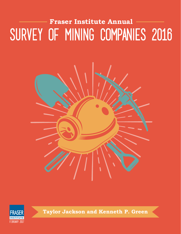# SURVEY OF MINING COMPANIES 2016 **Fraser Institute Annual**





**Taylor Jackson and Kenneth P. Green**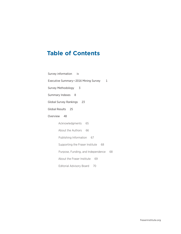## **Table of Contents**

Survey information iv Executive Summary-2016 Mining Survey 1 Survey Methodology 3 Summary Indexes 8 Global Survey Rankings 23 Global Results 25 Overview 48 Acknowledgments 65 About the Authors 66 Publishing Information 67 Supporting the Fraser Institute 68 Purpose, Funding, and Independence 68 About the Fraser Institute 69 Editorial Advisory Board 70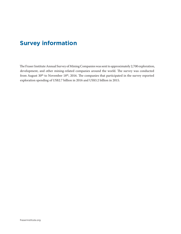## **Survey information**

The Fraser Institute Annual Survey of Mining Companies was sent to approximately 2,700 exploration, development, and other mining-related companies around the world. The survey was conducted from August 30<sup>th</sup> to November 18<sup>th</sup>, 2016. The companies that participated in the survey reported exploration spending of US\$2.7 billion in 2016 and US\$3.2 billion in 2015.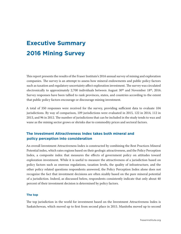## **Executive Summary 2016 Mining Survey**

This report presents the results of the Fraser Institute's 2016 annual survey of mining and exploration companies. The survey is an attempt to assess how mineral endowments and public policy factors such as taxation and regulatory uncertainty affect exploration investment. The survey was circulated electronically to approximately 2,700 individuals between August 30<sup>th</sup> and November 18<sup>th</sup>, 2016. Survey responses have been tallied to rank provinces, states, and countries according to the extent that public policy factors encourage or discourage mining investment.

A total of 350 responses were received for the survey, providing sufficient data to evaluate 104 jurisdictions. By way of comparison, 109 jurisdictions were evaluated in 2015, 122 in 2014, 112 in 2013, and 96 in 2012. The number of jurisdictions that can be included in the study tends to wax and wane as the mining sector grows or shrinks due to commodity prices and sectoral factors.

#### **The Investment Attractiveness Index takes both mineral and policy perception into consideration**

An overall Investment Attractiveness Index is constructed by combining the Best Practices Mineral Potential index, which rates regions based on their geologic attractiveness, and the Policy Perception Index, a composite index that measures the effects of government policy on attitudes toward exploration investment. While it is useful to measure the attractiveness of a jurisdiction based on policy factors such as onerous regulations, taxation levels, the quality of infrastructure, and the other policy related questions respondents answered, the Policy Perception Index alone does not recognize the fact that investment decisions are often sizably based on the pure mineral potential of a jurisdiction. Indeed, as discussed below, respondents consistently indicate that only about 40 percent of their investment decision is determined by policy factors.

#### **The top**

The top jurisdiction in the world for investment based on the Investment Attractiveness Index is Saskatchewan, which moved up to first from second place in 2015. Manitoba moved up to second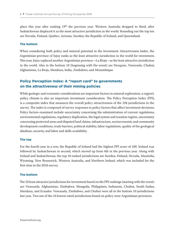place this year after ranking 19<sup>th</sup> the previous year. Western Australia dropped to third, after Saskatchewan displaced it as the most attractive jurisdiction in the world. Rounding out the top ten are Nevada, Finland, Quebec, Arizona, Sweden, the Republic of Ireland, and Queensland.

#### **The bottom**

When considering both policy and mineral potential in the Investment Attractiveness Index, the Argentinian province of Jujuy ranks as the least attractive jurisdiction in the world for investment. This year, Jujuy replaced another Argentinian province—La Rioja—as the least attractive jurisdiction in the world. Also in the bottom 10 (beginning with the worst) are Neuquen, Venezuela, Chubut, Afghanistan, La Rioja, Mendoza, India, Zimbabwe, and Mozambique.

#### **Policy Perception Index: A "report card" to governments on the attractiveness of their mining policies**

While geologic and economic considerations are important factors in mineral exploration, a region's policy climate is also an important investment consideration. The Policy Perception Index (PPI), is a composite index that measures the overall policy attractiveness of the 104 jurisdictions in the survey. The index is composed of survey responses to policy factors that affect investment decisions. Policy factors examined include uncertainty concerning the administration of current regulations, environmental regulations, regulatory duplication, the legal system and taxation regime, uncertainty concerning protected areas and disputed land claims, infrastructure, socioeconomic and community development conditions, trade barriers, political stability, labor regulations, quality of the geological database, security, and labor and skills availability.

#### **The top**

For the fourth year in a row, the Republic of Ireland had the highest PPI score of 100. Ireland was followed by Saskatchewan in second, which moved up from 4th in the previous year. Along with Ireland and Saskatchewan, the top 10 ranked jurisdictions are Sweden, Finland, Nevada, Manitoba, Wyoming, New Brunswick, Western Australia, and Northern Ireland, which was included for the first time in the 2016 survey.

#### **The bottom**

The 10 least attractive jurisdictions for investment based on the PPI rankings (starting with the worst) are Venezuela, Afghanistan, Zimbabwe, Mongolia, Philippines, Indonesia, Chubut, South Sudan, Mendoza, and Ecuador. Venezuela, Zimbabwe, and Chubut were all in the bottom 10 jurisdictions last year. Two out of the 10 lowest-rated jurisdictions based on policy were Argentinian provinces.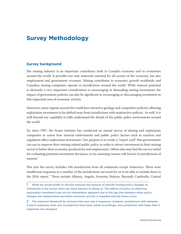## **Survey Methodology**

#### **Survey background**

The mining industry is an important contributor both to Canada's economy and to economies around the world. It provides not only materials essential for all sectors of the economy, but also employment and government revenues. Mining contributes to economic growth worldwide and Canadian mining companies operate in jurisdictions around the world. While mineral potential is obviously a very important consideration in encouraging or dissuading mining investment, the impact of government policies can also be significant in encouraging or discouraging investment in this important area of economic activity.

Moreover, many regions around the world have attractive geology and competitive policies, allowing exploration investment to be shifted away from jurisdictions with unattractive policies. As well, it is well beyond our capability to fully understand the details of the public policy environment around the world.

So, since 1997, the Fraser Institute has conducted an annual survey of mining and exploration companies to assess how mineral endowments and public policy factors such as taxation and regulation affect exploration investment. Our purpose is to create a "report card" that governments can use to improve their mining-related public policy in order to attract investment in their mining sector to better their economic productivity and employment. Others also may find the survey useful for evaluating potential investment decisions, or for assessing various risk factors in jurisdictions of interest.1

This year the survey includes 104 jurisdictions from all continents except Antarctica. There were insufficient responses to a number of the jurisdictions surveyed for us to be able to include them in the 2016 report.<sup>2</sup> These include Albania, Angola, Armenia, Belarus, Burundi, Cambodia, Central

<sup>1</sup> While we would prefer to directly measure the impacts of specific mining policy changes on investment in the sector, there are many barriers to doing so. The effects of policy on deterring exploration investment may not be immediately apparent due to the lag time between when policy changes are implemented and when economic activity is impeded and job losses occur.

<sup>2</sup> The minimum threshold for inclusion this year was 5 responses. However, jurisdictions with between 5 and 9 responses were also included but have been noted accordingly. Any jurisdiction with fewer than 5 responses was dropped.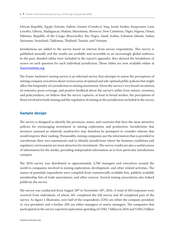African Republic, Egypt, Estonia, Gabon, Guinea (Conakry), Iraq, Israel, Jordan, Kyrgyzstan, Laos, Lesotho, Liberia, Madagascar, Malawi, Mauritania, Morocco, New Caledonia, Niger, Nigeria, Oman, Pakistan, Republic of the Congo (Brazzaville), Rio Negro, Saudi Arabia, Solomon Islands, Sudan, Suriname, Swaziland, Tajikistan, Thailand, Tunisia, and Vietnam.

Jurisdictions are added to the survey based on interest from survey respondents. This survey is published annually and the results are available and accessible to an increasingly global audience. In the past, detailed tables were included in the report's appendix; they showed the breakdown of scores on each question for each individual jurisdiction. Those tables are now available online at [fraserinstitute.org](http://www.fraserinstitute.org).

The Fraser Institute's mining survey is an informal survey that attempts to assess the perceptions of mining company executives about various areas of optimal and sub-optimal public policies that might affect the hospitality of a jurisdiction to mining investment. Given the survey's very broad circulation, its extensive press coverage, and positive feedback about the survey's utility from miners, investors, and policymakers, we believe that the survey captures, at least in broad strokes, the perceptions of those involved in both mining and the regulation of mining in the jurisdictions included in the survey.

#### **Sample design**

The survey is designed to identify the provinces, states, and countries that have the most attractive policies for encouraging investment in mining exploration and production. Jurisdictions that investors assessed as relatively unattractive may therefore be prompted to consider reforms that would improve their ranking. Presumably, mining companies use the information that is provided to corroborate their own assessments and to identify jurisdictions where the business conditions and regulatory environment are most attractive for investment. The survey results are also a useful source of information for the media, providing independent information as to how particular jurisdictions compare.

The 2016 survey was distributed to approximately 2,700 managers and executives around the world in companies involved in mining exploration, development, and other related activities. The names of potential respondents were compiled from commercially available lists, publicly available membership lists of trade associations, and other sources. Several mining associations also helped publicize the survey.

The survey was conducted from August  $30<sup>th</sup>$  to November 18<sup>th</sup>, 2016. A total of 350 responses were received from individuals, of whom 301 completed the full survey and 49 completed part of the survey. As figure 1 illustrates, over half of the respondents (53%) are either the company president or vice-president, and a further 28% are either managers or senior managers. The companies that participated in the survey reported exploration spending of US\$2.7 billion in 2016 and US\$3.2 billion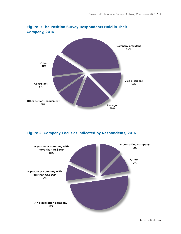

#### **Figure 1: The Position Survey Respondents Hold in Their Company, 2016**

#### **Figure 2: Company Focus as Indicated by Respondents, 2016**

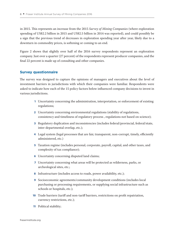in 2015. This represents an increase from the 2015 *Survey of Mining Companies* (where exploration spending of US\$2.2 billion in 2015 and US\$2.5 billion in 2014 was reported), and could possibly be a sign that the previous trend of decreases in exploration spending year after year, likely due to a downturn in commodity prices, is softening or coming to an end.

Figure 2 shows that slightly over half of the 2016 survey respondents represent an exploration company. Just over a quarter (27 percent) of the respondents represent producer companies, and the final 22 percent is made up of consulting and other companies.

#### **Survey questionnaire**

The survey was designed to capture the opinions of managers and executives about the level of investment barriers in jurisdictions with which their companies were familiar. Respondents were asked to indicate how each of the 15 policy factors below influenced company decisions to invest in various jurisdictions.

- 1 Uncertainty concerning the administration, interpretation, or enforcement of existing regulations;
- 2 Uncertainty concerning environmental regulations (stability of regulations, consistency and timeliness of regulatory process , regulations not based on science);
- 3 Regulatory duplication and inconsistencies (includes federal/provincial, federal/state, inter-departmental overlap, etc.);
- 4 Legal system (legal processes that are fair, transparent, non-corrupt, timely, efficiently administered, etc.)
- 5 Taxation regime (includes personal, corporate, payroll, capital, and other taxes, and complexity of tax compliance);
- 6 Uncertainty concerning disputed land claims;
- 7 Uncertainty concerning what areas will be protected as wilderness, parks, or archeological sites, etc.;
- 8 Infrastructure (includes access to roads, power availability, etc.);
- 9 Socioeconomic agreements/community development conditions (includes local purchasing or processing requirements, or supplying social infrastructure such as schools or hospitals, etc.);
- 10 Trade barriers (tariff and non-tariff barriers, restrictions on profit repatriation, currency restrictions, etc.);
- 11 Political stability;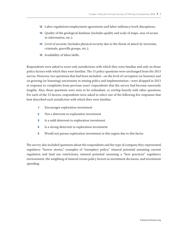- 12 Labor regulations/employment agreements and labor militancy/work disruptions;
- 13 Quality of the geological database (includes quality and scale of maps, ease of access to information, etc.);
- 14 Level of security (includes physical security due to the threat of attack by terrorists, criminals, guerrilla groups, etc.);
- 15 Availability of labor/skills.

Respondents were asked to score only jurisdictions with which they were familiar and only on those policy factors with which they were familiar. The 15 policy questions were unchanged from the 2013 survey. However, two questions that had been included—on the level of corruption (or honesty) and on growing (or lessening) uncertainty in mining policy and implementation—were dropped in 2013 in response to complaints from previous years' respondents that the survey had become onerously lengthy. Also, those questions were seen to be redundant, or overlap heavily with other questions. For each of the 15 factors, respondents were asked to select one of the following five responses that best described each jurisdiction with which they were familiar:

- 1 Encourages exploration investment
- 2 Not a deterrent to exploration investment
- 3 Is a mild deterrent to exploration investment
- 4 Is a strong deterrent to exploration investment
- 5 Would not pursue exploration investment in this region due to this factor

The survey also included questions about the respondents and the type of company they represented, regulatory "horror stories," examples of "exemplary policy," mineral potential assuming current regulation and land use restrictions, mineral potential assuming a "best practices" regulatory environment, the weighting of mineral versus policy factors in investment decisions, and investment spending.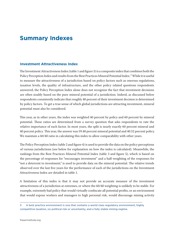## **Summary Indexes**

#### **Investment Attractiveness Index**

The Investment Attractiveness Index (table 1 and figure 3) is a composite index that combines both the Policy Perception Index and results from the Best Practices Mineral Potential Index.<sup>3</sup> While it is useful to measure the attractiveness of a jurisdiction based on policy factors such as onerous regulations, taxation levels, the quality of infrastructure, and the other policy related questions respondents answered, the Policy Perception Index alone does not recognize the fact that investment decisions are often sizably based on the pure mineral potential of a jurisdiction. Indeed, as discussed below respondents consistently indicate that roughly 40 percent of their investment decision is determined by policy factors. To get a true sense of which global jurisdictions are attracting investment, mineral potential must also be considered.

This year, as in other years, the index was weighted 40 percent by policy and 60 percent by mineral potential. These ratios are determined from a survey question that asks respondents to rate the relative importance of each factor. In most years, the split is nearly exactly 60 percent mineral and 40 percent policy. This year, the answer was 59.48 percent mineral potential and 40.52 percent policy. We maintain a 60/40 ratio in calculating this index to allow comparability with other years.

The Policy Perception Index (table 2 and figure 4) is used to provide the data on the policy perceptions of various jurisdictions (see below for explanation on how the index is calculated). Meanwhile, the rankings from the Best Practices Mineral Potential Index (table 3 and figure 5), which is based on the percentage of responses for "encourages investment" and a half-weighting of the responses for "not a deterrent to investment," is used to provide data on the mineral potential. The relative trends observed over the last five years for the performance of each of the jurisdictions on the Investment Attractiveness Index are detailed in table 1.

A limitation of this index is that it may not provide an accurate measure of the investment attractiveness of a jurisdiction at extremes, or where the 60/40 weighting is unlikely to be stable. For example, extremely bad policy that would virtually confiscate all potential profits, or an environment that would expose workers and managers to high personal risk, would discourage mining activity

<sup>3</sup> A best practice environment is one that contains a world class regulatory environment, highly competitive taxation, no political risk or uncertainty, and a fully stable mining regime.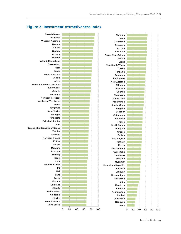#### 0 20 40 60 80 100 Nova Scotia French Guiana Mexico California Burkina Faso Alberta Colorado Guyana Russia Salta Mali Fiji New Brunswick Chile Spain Norway Portugal Montana Poland Eritrea Northern Ireland Nunavut Zambia Democratic Republic of Congo Peru British Columbia Minnesota Michigan New Mexico Wyoming Ghana Northwest Territories Northern Territory Botswana Ontario Ivory Coast Newfoundland & Labrador Yukon Alaska South Australia Idaho Utah Queensland Ireland, Republic of Sweden Arizona Quebec Finland Nevada Western Australia Manitoba Saskatchewan 0 20 40 60 80 100 Jujuy Neuquen Venezuela Chubut Afghanistan La Rioja Mendoza India Zimbabwe Mozambique Uruguay Malaysia Dominican Republic Myanmar Panama Honduras Guatemala Sierra Leone Kenya Hungary Washington Bolivia Greece Mongolia South Sudan France Indonesia Catamarca Ecuador Bulgaria South Africa Kazakhstan Santa Cruz Nicaragua Uganda Romania Ethiopia New Zealand Philippines Colombia Tanzania **Turkey** New South Wales Brazil Serbia Papua New Guinea San Juan Victoria Tasmania Greenland China Namibia

#### **Figure 3: Investment Attractiveness Index**

fraserinstitute.org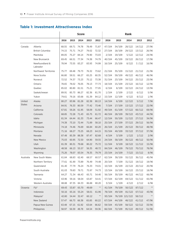#### **Table 1: Investment Attractiveness Index**

|               |                            | <b>Score</b> |       |             |       |            | Rank   |        |                |        |       |  |
|---------------|----------------------------|--------------|-------|-------------|-------|------------|--------|--------|----------------|--------|-------|--|
|               |                            | 2016         | 2015  | 2014        | 2013  | 2012       | 2016   | 2015   | 2014           | 2013   | 2012  |  |
| Canada        | Alberta                    | 68.55        | 69.71 | 74.78       | 78.49 | 71.87      | 47/104 | 34/109 | 28/122         | 14/112 | 27/96 |  |
|               | <b>British Columbia</b>    | 74.15        | 75.71 | 74.27       | 79.02 | 72.32      | 27/104 | 18/109 | 29/122         | 13/112 | 26/96 |  |
|               | Manitoba                   | 89.05        | 75.27 | 84.14       | 79.90 | 73.03      | 2/104  | 19/109 | 5/122          | 12/112 | 24/96 |  |
|               | New Brunswick              | 69.45        | 66.51 | 77.34       | 74.38 | 74.79      | 40/104 | 45/109 | 19/122         | 26/112 | 17/96 |  |
|               | Newfoundland &<br>Labrador | 78.94        | 73.55 | 83.27       | 83.93 | 74.99      | 16/104 | 25/109 | 8/122          | 3/112  | 16/96 |  |
|               | Northwest Territories      | 75.77        | 69.48 | 79.73       | 76.32 | 73.62      | 21/104 | 35/109 | 15/122         | 21/112 | 21/96 |  |
|               | Nova Scotia                | 66.80        | 59.51 | 66.27       | 65.25 | 60.35      | 52/104 | 59/109 | 49/122         | 46/112 | 46/96 |  |
|               | Nunavut                    | 72.52        | 74.37 | 73.23       | 75.12 | 73.38      | 31/104 | 23/109 | 34/122         | 25/112 | 23/96 |  |
|               | Ontario                    | 78.65        | 78.02 | 76.05       | 78.13 | 77.73      | 18/104 | 15/109 | 23/122         | 16/112 | 12/96 |  |
|               | Quebec                     | 85.02        | 80.80 | 81.51       | 75.21 | 77.05      | 6/104  | 8/109  | 10/122         | 24/112 | 13/96 |  |
|               | Saskatchewan               | 89.91        | 85.73 | 86.27       | 82.36 | 81.70      | 1/104  | 2/109  | 2/122          | 6/112  | 5/96  |  |
|               | Yukon                      | 79.61        | 79.16 | 83.68       | 81.39 | 84.12      | 15/104 | 12/109 | 6/122          | 8/112  | 1/96  |  |
| United        | Alaska                     | 80.27        | 83.96 | 81.28       | 82.38 | 80.13      | 14/104 | 6/109  | 12/122         | 5/112  | 7/96  |  |
| <b>States</b> | Arizona                    | 84.91        | 76.33 | 80.59       | 77.42 | 73.46      | 7/104  | 17/109 | 13/122         | 17/112 | 22/96 |  |
|               | California                 | 67.81        | 59.26 | 61.95       | 58.09 | 51.92      | 49/104 | 61/109 | 57/122         | 66/112 | 69/96 |  |
|               | Colorado                   | 68.85        | 72.28 | 71.43       | 65.75 | 61.72      | 46/104 | 28/109 | 39/122         | 43/112 | 44/96 |  |
|               | Idaho                      | 81.34        | 64.44 | 81.33       | 73.44 | 66.47      | 12/104 | 50/109 | 11/122         | 27/112 | 34/96 |  |
|               | Michigan                   | 74.38        | 73.10 | 72.44       | 71.89 | 58.10      | 25/104 | 27/109 | 37/122         | 29/112 | 56/96 |  |
|               | Minnesota                  | 74.18        | 74.46 | 76.69       | 66.84 | 60.20      | 26/104 | 21/109 | 20/122         | 39/112 | 48/96 |  |
|               | Montana                    | 71.16        | 68.27 | 73.25       | 68.23 | 64.15      | 35/104 | 40/109 | 33/122         | 37/112 | 37/96 |  |
|               | Nevada                     | 87.48        | 85.39 | 88.38       | 87.47 | 82.68      | 4/104  | 3/109  | 1/122          | 1/112  | 2/96  |  |
|               | <b>New Mexico</b>          | 75.03        | 60.95 | 72.50       | 64.90 | 59.55      | 24/104 | 58/109 | 36/122         | 48/112 | 50/96 |  |
|               | Utah                       | 81.39        | 80.31 | 79.68       | 80.22 | 75.72      | 11/104 | 9/109  | 18/122         | 11/112 | 15/96 |  |
|               | Washington                 | 48.58        | 66.13 | 55.57       | 56.35 | 48.72      | 84/104 | 46/109 | 79/122         | 70/112 | 78/96 |  |
|               | Wyoming                    | 75.26        |       | 78.07 83.54 | 78.35 | 79.79      | 23/104 | 14/109 | 7/122          | 15/112 | 8/96  |  |
| Australia     | New South Wales            | 61.84        | 68.83 | 62.40       | 68.57 | 60.57      | 62/104 | 38/109 | 55/122         | 36/112 | 45/96 |  |
|               | Northern Territory         | 77.61        | 81.90 | 73.89       | 76.49 | 74.48      | 20/104 | 7/109  | 31/122         | 19/112 | 19/96 |  |
|               | Queensland                 | 81.40        | 77.79 | 76.24       | 76.33 | 74.01      | 10/104 | 16/109 | 22/122         | 20/112 | 20/96 |  |
|               | South Australia            | 81.03        | 79.83 | 79.71       | 75.97 | 74.73      | 13/104 | 10/109 | 16/122         | 23/112 | 18/96 |  |
|               | Tasmania                   | 64.27        | 71.34 | 66.43       | 65.71 | 54.40      | 56/104 | 30/109 | 46/122         | 44/112 | 66/96 |  |
|               | Victoria                   | 63.96        | 59.16 | 58.04       | 63.87 | 54.41      | 57/104 | 62/109 | 69/122         | 51/112 | 65/96 |  |
|               | Western Australia          | 88.88        | 87.35 | 84.33       | 86.88 | 80.20      | 3/104  | 1/109  | 4/122          | 2/112  | 6/96  |  |
| Oceania       | Fiji*                      | 69.43        | 53.87 | 65.70       | 49.69 | $\ast\ast$ | 41/104 | 79/109 | 50/122         | 87/112 | $***$ |  |
|               | Indonesia                  | 50.16        |       | 65.16 55.24 | 58.01 | 61.96      | 78/104 | 49/109 | 81/122         | 67/112 | 43/96 |  |
|               | Malaysia*                  | 42.80        | 54.44 | 32.47       | 60.12 | $***$      | 93/104 |        | 76/109 121/122 | 58/112 | $***$ |  |
|               | New Zealand                | 57.47        | 66.73 | 66.38       | 65.85 | 60.22      | 67/104 | 44/109 | 48/122         | 41/112 | 47/96 |  |
|               | Papua New Guinea           | 63.48        | 67.15 | 61.92       | 63.64 | 66.62      | 59/104 | 43/109 | 58/122         | 52/112 | 33/96 |  |
|               | Philippines                | 58.97        | 56.59 | 48.78       | 64.54 | 59.36      | 66/104 | 72/109 | 95/122         | 49/112 | 51/96 |  |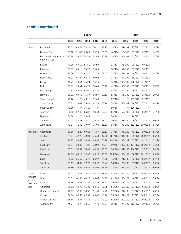|                      |                                       |       |       | <b>Score</b> |       |            |         |                        | <b>Rank</b>                    |                |            |
|----------------------|---------------------------------------|-------|-------|--------------|-------|------------|---------|------------------------|--------------------------------|----------------|------------|
|                      |                                       | 2016  | 2015  | 2014         | 2013  | 2012       | 2016    | 2015                   | 2014                           | 2013           | 2012       |
| Africa               | Botswana                              | 77.62 | 68.32 | 75.10        | 76.21 | 81.92      | 19/104  | 39/109                 | 27/122                         | 22/112         | 4/96       |
|                      | Burkina Faso                          | 68.18 | 71.88 | 63.80        | 65.16 | 60.08      | 48/104  | 29/109                 | 53/122                         | 47/112         | 49/96      |
|                      | Democratic Republic of<br>Congo (DRC) | 72.80 | 59.37 | 58.38        | 54.86 | 50.39      | 29/104  | 60/109                 | 67/122                         | 75/112         | 75/96      |
|                      | Eritrea*                              | 71.86 | 68.10 | 55.51        | 66.50 | $\ast\ast$ | 33/104  | 41/109                 | 80/122                         | 40/112         | $* *$      |
|                      | Ethiopia*                             | 57.32 |       | 64.11 50.76  | 55.05 | $***$      | 68/104  | 51/109                 | 89/122                         | 74/112         |            |
|                      | Ghana                                 | 75.56 | 71.27 | 67.17        | 71.30 | 63.47      | 22/104  | 31/109                 | 44/122                         | 30/112         | 38/96      |
|                      | Ivory Coast*                          | 78.93 | 67.99 | 62.35        | 59.09 | $***$      | 17/104  | 42/109                 | 56/122                         | 61/112         |            |
|                      | Kenya                                 | 46.71 | 38.43 | 35.24        | 56.16 | $***$      |         | 86/104 102/109         | 120/122                        | 71/112         | $***$      |
|                      | Mali                                  | 69.32 | 50.84 | 64.70        | 54.68 | 50.78      | 42/104  | 83/109                 | 51/122                         | 76/112         | 73/96      |
|                      | Mozambique*                           | 41.87 | 50.69 | 55.91        | 44.72 | $***$      | 95/104  | 84/109                 | 75/122                         | 96/112         |            |
|                      | Namibia                               | 66.11 | 69.78 | 76.37        | 68.97 | 68.30      | 53/104  | 33/109                 | 21/122                         | 35/112         | 29/96      |
|                      | Sierra Leone*                         | 46.26 | $***$ | 43.11        | 52.46 | $***$      | 87/104  | $***$                  | 103/122                        | 82/112         |            |
|                      | South Africa                          | 53.62 | 58.04 | 56.49        | 61.50 | 53.76      | 74/104  | 66/109                 | 74/122                         | 57/112         | 68/96      |
|                      | South Sudan*                          | 49.60 | $***$ | 37.13        | $***$ | $\ast\ast$ | 80/104  | $***$                  | 116/122                        | $\ast\ast$     |            |
|                      | Tanzania                              | 60.45 | 57.46 | 63.82        | 58.40 | 62.53      | 64/104  | 69/109                 | 52/122                         | 65/112         | 41/96      |
|                      | Uganda*                               | 56.34 | $***$ | 50.48        | $***$ | $***$      | 70/104  | $\ast\ast$             | 90/122                         | $***$          | $\ast\ast$ |
|                      | Zambia                                | 72.78 | 57.48 | 75.71        | 70.30 | 63.01      | 30/104  | 68/109                 | 25/122                         | 33/112         | 40/96      |
|                      | Zimbabwe                              | 41.84 | 41.45 | 39.07        | 36.04 | 35.50      | 96/104  |                        | 98/109 112/122 109/112         |                | 93/96      |
| Argentina            | Catamarca                             | 50.38 | 42.29 | 69.14        | 43.57 | 58.37      | 77/104  | 96/109                 | 41/122                         | 99/112         | 55/96      |
|                      | Chubut                                | 31.47 | 37.75 | 49.94        | 43.40 | 42.50      |         | 101/104 104/109        |                                | 92/122 100/112 | 86/96      |
|                      | Jujuy                                 | 24.83 | 49.57 | 58.92        | 46.94 | 51.28      | 104/104 | 86/109                 | 65/122                         | 92/112         | 71/96      |
|                      | La Rioja**                            | 33.94 | 28.86 | 41.96        | 38.92 | 49.64      |         |                        | 99/104 109/109 107/122 106/112 |                | 76/96      |
|                      | Mendoza                               | 35.51 | 38.51 | 38.09        | 44.50 | 45.63      |         | 98/104 101/109 114/122 |                                | 97/112         | 84/96      |
|                      | Neuquen**                             | 26.13 | 45.17 | 52.02        | 43.28 | 41.39      | 103/104 | 93/109                 |                                | 86/122 101/112 | 89/96      |
|                      | Salta                                 | 69.25 | 56.69 | 73.71        | 63.02 | 54.28      | 43/104  | 71/109                 | 32/122                         | 55/112         | 67/96      |
|                      | San Juan                              | 63.69 |       | 54.97 72.78  | 58.57 | 58.44      |         |                        | 58/104 75/109 35/122 64/112    |                | 54/96      |
|                      | Santa Cruz                            | 54.80 |       | 42.59 55.81  | 53.94 | 55.75      | 72/104  | 95/109                 |                                | 77/122 77/112  | 60/96      |
| Latin                | <b>Bolivia</b>                        | 48.74 |       | 44.56 44.74  | 42.87 | 35.60      | 83/104  | 94/109                 |                                | 99/122 102/112 | 92/96      |
| America              | Brazil                                | 62.51 | 61.45 | 69.27        | 65.63 | 64.99      | 61/104  | 56/109                 | 40/122                         | 45/112         | 36/96      |
| and the<br>Caribbean | Chile                                 | 69.66 |       | 79.81 81.86  | 82.54 | 78.52      | 39/104  | 11/109                 | 9/122                          | 4/112          | 11/96      |
| Basin                | Colombia                              | 59.52 |       | 62.75 61.29  | 58.61 | 66.68      | 65/104  | 55/109                 | 61/122                         | 63/112         | 32/96      |
|                      | Dominican Republic**                  | 42.82 | 52.89 | 50.40        | 51.50 | 54.42      | 92/104  | 81/109                 | 91/122                         | 85/112         | 64/96      |
|                      | Ecuador                               | 50.38 | 45.36 | 46.94        | 40.02 | 41.90      | 76/104  | 92/109                 |                                | 97/122 105/112 | 87/96      |
|                      | French Guiana**                       | 66.86 |       | 46.67 53.51  | 41.80 | 49.21      | 51/104  | 89/109                 |                                | 83/122 103/112 | 77/96      |
|                      | Guatemala**                           | 46.24 |       | 41.77 38.32  | 47.48 | 41.07      |         |                        | 88/104 97/109 113/122 90/112   |                | 90/96      |

#### **Table 1 continued**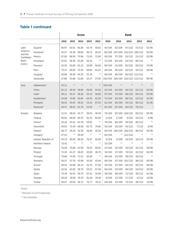#### **Table 1 continued**

|                      |                      | <b>Score</b> |            |       |       |            | <b>Rank</b> |                |                                 |                |            |
|----------------------|----------------------|--------------|------------|-------|-------|------------|-------------|----------------|---------------------------------|----------------|------------|
|                      |                      | 2016         | 2015       | 2014  | 2013  | 2012       | 2016        | 2015           | 2014                            | 2013           | 2012       |
| Latin                | Guyana*              | 68.97        | 50.91      | 66.38 | 55.79 | 58.82      | 45/104      | 82/109         | 47/122                          | 72/112         | 52/96      |
| America              | Honduras*            | 45.57        | 35.36      | 38.08 | 36.72 | 30.24      |             |                | 89/104 107/109 115/122 108/112  |                | 95/96      |
| and the<br>Caribbean | Mexico               | 67.06        | 68.93      | 75.96 | 71.05 | 72.69      | 50/104      | 37/109         | 24/122                          | 31/112         | 25/96      |
| <b>Basin</b>         | Nicaragua            | 55.02        | 58.38      | 63.28 | 50.32 | $***$      | 71/104      | 65/109         | 54/122                          | 86/112         | $\ast\ast$ |
| (cont.)              | Panama*              | 45.20        | 55.09      | 61.13 | 59.99 | 50.56      | 90/104      | 74/109         | 62/122                          | 59/112         | 74/96      |
|                      | Peru                 | 73.47        | 69.26      | 75.35 | 69.85 | 63.23      | 28/104      | 36/109         | 26/122                          | 34/112         | 39/96      |
|                      | Uruguay*             | 42.08        | 39.39      | 54.33 | 31.76 | $***$      | 94/104      | 99/109         |                                 | 82/122 111/112 | $\ast\ast$ |
|                      | Venezuela            | 27.86        | 31.88      | 31.80 | 24.27 | 27.60      |             |                | 102/104 108/109 122/122 112/112 |                | 96/96      |
| Asia                 | Afghanistan*         | 33.11        | $\ast\ast$ | $**$  | $***$ | $\ast\ast$ | 100/104     | $***$          | **                              | $\ast\ast$     | $\ast\ast$ |
|                      | China                | 65.13        | 58.49      | 48.89 | 58.69 | 54.50      | 54/104      | 64/109         | 94/122                          | 62/112         | 63/96      |
|                      | India*               | 39.11        | 55.47      | 58.26 | 52.13 | 58.69      | 97/104      | 73/109         | 68/122                          | 84/112         | 53/96      |
|                      | Kazakhstan*          | 54.08        | 74.66      | 50.84 | 63.45 | 62.50      | 73/104      | 20/109         | 88/122                          | 53/112         | 42/96      |
|                      | Mongolia             | 49.42        | 50.03      | 49.22 | 53.25 | 67.04      | 81/104      | 85/109         | 93/122                          | 80/112         | 31/96      |
|                      | Myanmar*             | 44.47        | 48.92      | 61.70 | 53.32 | $\ast\ast$ | 91/104      | 87/109         | 60/122                          | 79/112         | $\ast$     |
| Europe               | <b>Bulgaria</b>      | 51.31        | 58.54      | 42.77 | 56.55 | 46.43      | 75/104      |                | 63/109 104/122                  | 69/112         | 83/96      |
|                      | Finland              | 85.56        | 84.00      | 85.70 | 81.23 | 82.00      | 5/104       | 5/109          | 3/122                           | 10/112         | 3/96       |
|                      | France*              | 50.10        | 53.41      | 61.78 | 59.82 | $\ast\ast$ | 79/104      | 80/109         | 59/122                          | 60/112         | $\ast\ast$ |
|                      | Greenland            | 64.63        | 73.43      | 68.58 | 81.72 | 79.60      | 55/104      | 26/109         | 42/122                          | 7/112          | 9/96       |
|                      | Greece*              | 48.77        | 35.43      | 42.39 | 48.90 | 30.34      |             | 82/104 106/109 | 106/122                         | 88/112         | 94/96      |
|                      | Hungary*             | 47.41        | $***$      | 39.59 | $***$ | $\ast\ast$ | 85/104      | $***$          | 111/122                         | $\ast\ast$     | $\ast\ast$ |
|                      | Ireland, Republic of | 83.13        | 85.00      | 80.20 | 76.57 | 65.60      | 9/104       | 4/109          | 14/122                          | 18/112         | 35/96      |
|                      | Northern Ireland     | 72.41        | $\ast\ast$ | $**$  | $**$  | $\ast\ast$ | 32/104      | $***$          | $**$                            | $***$          | $**$       |
|                      | Norway               | 70.59        | 70.68      | 67.99 | 70.53 | 69.91      | 37/104      | 32/109         | 43/122                          | 32/112         | 28/96      |
|                      | Poland               | 71.34        | 61.37      | 58.03 | 65.84 | 46.76      | 34/104      | 57/109         | 70/122                          | 42/112         | 82/96      |
|                      | Portugal             | 70.86        | 74.40      | 71.51 | 62.84 | $\ast\ast$ | 36/104      | 22/109         | 38/122                          | 56/112         | $\ast\ast$ |
|                      | Romania              | 56.57        | 57.76      | 43.98 | 43.58 | 43.94      | 69/104      |                | 67/109 101/122                  | 98/112         | 85/96      |
|                      | Russia*              | 69.02        | 65.86      | 60.14 | 52.35 | 57.20      | 44/104      | 47/109         | 64/122                          | 83/112         | 58/96      |
|                      | Serbia               | 62.54        | 63.20      | 58.74 | 63.21 | 67.46      | 60/104      | 53/109         | 66/122                          | 54/112         | 30/96      |
|                      | Spain                | 70.39        | 65.41      | 56.75 | 67.01 | 55.69      | 38/104      | 48/109         | 72/122                          | 38/112         | 61/96      |
|                      | Sweden               | 84.26        | 78.58      | 79.70 | 81.29 | 79.40      | 8/104       | 13/109         | 17/122                          | 9/112          | 10/96      |
|                      | Turkey               | 60.67        | 64.04      | 56.71 | 72.77 | 76.12      | 63/104      | 52/109         | 73/122                          | 28/112         | 14/96      |

Notes:

\* Between 5 and 9 responses

\*\* Not Available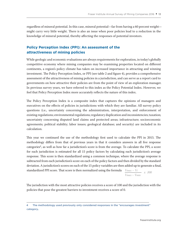regardless of mineral potential. In this case, mineral potential—far from having a 60 percent weight might carry very little weight. There is also an issue when poor policies lead to a reduction in the knowledge of mineral potential, thereby affecting the responses of potential investors.

#### **Policy Perception Index (PPI): An assessment of the attractiveness of mining policies**

While geologic and economic evaluations are always requirements for exploration, in today's globally competitive economy where mining companies may be examining properties located on different continents, a region's policy climate has taken on increased importance in attracting and winning investment. The Policy Perception Index, or PPI (see table 2 and figure 4), provides a comprehensive assessment of the attractiveness of mining policies in a jurisdiction, and can serve as a report card to governments on how attractive their policies are from the point of view of an exploration manager. In previous survey years, we have referred to this index as the Policy Potential Index. However, we feel that Policy Perception Index more accurately reflects the nature of this index.

The Policy Perception Index is a composite index that captures the opinions of managers and executives on the effects of policies in jurisdictions with which they are familiar. All survey policy questions (i.e., uncertainty concerning the administration, interpretation, and enforcement of existing regulations; environmental regulations; regulatory duplication and inconsistencies; taxation; uncertainty concerning disputed land claims and protected areas; infrastructure; socioeconomic agreements; political stability; labor issues; geological database; and security) are included in its calculation.

This year we continued the use of the methodology first used to calculate the PPI in 2015. The methodology differs from that of previous years in that it considers answers in all five response categories4, as well as how far a jurisdiction's score is from the average. To calculate the PPI, a score for each jurisdiction is estimated for all 15 policy factors by calculating each jurisdiction's average response. This score is then standardized using a common technique, where the average response is subtracted from each jurisdiction's score on each of the policy factors and then divided by the standard deviation. A jurisdiction's scores on each of the 15 policy variables are then added up to generate a final, standardized PPI score. That score is then normalized using the formula  $\frac{V_{max} - V_i}{x}$  *x 100* 

The jurisdiction with the most attractive policies receives a score of 100 and the jurisdiction with the policies that pose the greatest barriers to investment receives a score of 0.

*Vmax – Vmin*

<sup>4</sup> The methodology used previously only considered responses in the "encourages investment" category..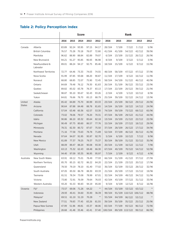### **Table 2: Policy Perception Index**

|               |                            | <b>Score</b> |       |             |       |       | Rank    |        |                        |        |            |  |
|---------------|----------------------------|--------------|-------|-------------|-------|-------|---------|--------|------------------------|--------|------------|--|
|               |                            | 2016         | 2015  | 2014        | 2013  | 2012  | 2016    | 2015   | 2014                   | 2013   | 2012       |  |
| Canada        | Alberta                    | 83.89        | 92.24 | 93.95       | 97.15 | 94.17 | 28/104  | 7/109  | 7/122                  | 3/112  | 5/96       |  |
|               | <b>British Columbia</b>    | 76.57        | 75.28 | 70.18       | 78.07 | 72.80 | 41/104  | 41/109 | 54/122                 | 42/112 | 39/96      |  |
|               | Manitoba                   | 96.62        | 88.90 | 88.84       | 82.89 | 79.07 | 6/104   | 13/109 | 15/122                 | 26/112 | 26/96      |  |
|               | New Brunswick              | 94.21        | 91.27 | 95.85       | 96.93 | 96.98 | 8/104   | 9/109  | 3/122                  | 5/112  | 3/96       |  |
|               | Newfoundland &<br>Labrador | 89.01        | 88.24 | 94.17       | 92.75 | 85.46 | 18/104  | 15/109 | 6/122                  | 9/112  | 15/96      |  |
|               | Northwest Territories      | 72.77        | 64.46 | 73.33       | 74.03 | 74.55 | 48/104  | 58/109 | 47/122                 | 47/112 | 37/96      |  |
|               | Nova Scotia                | 91.99        | 87.85 | 93.68       | 88.20 | 90.87 | 11/104  | 17/109 | 8/122                  | 16/112 | 11/96      |  |
|               | Nunavut                    | 68.80        | 68.85 | 72.07       | 75.90 | 72.45 | 58/104  | 54/109 | 51/122                 | 46/112 | 40/96      |  |
|               | Ontario                    | 84.69        | 79.48 | 76.12       | 79.30 | 81.83 | 26/104  | 31/109 | 36/122                 | 33/112 | 23/96      |  |
|               | Quebec                     | 89.82        | 85.02 | 83.78       | 78.37 | 83.13 | 17/104  | 22/109 | 20/122                 | 39/112 | 21/96      |  |
|               | Saskatchewan               | 98.87        | 95.10 | 95.67       | 92.43 | 93.26 | 2/104   | 4/109  | 5/122                  | 10/112 | 8/96       |  |
|               | Yukon                      | 84.81        | 76.66 | 78.70       | 85.13 | 88.79 | 25/104  | 39/109 | 32/122                 | 24/112 | 13/96      |  |
| United        | Alaska                     | 85.42        | 84.89 | 75.70       | 80.99 | 83.33 | 23/104  | 23/109 | 38/122                 | 29/112 | 20/96      |  |
| <b>States</b> | Arizona                    | 90.64        | 87.88 | 84.48       | 88.78 | 81.65 | 14/104  | 16/109 | 18/122                 | 14/112 | 24/96      |  |
|               | California                 | 57.04        | 63.48 | 60.36       | 62.57 | 53.30 | 74/104  | 59/109 | 73/122                 | 68/112 | 65/96      |  |
|               | Colorado                   | 73.02        | 78.06 | 79.57       | 78.20 | 70.31 | 47/104  | 36/109 | 29/122                 | 41/112 | 44/96      |  |
|               | Idaho                      | 90.86        | 86.10 | 83.32       | 85.64 | 82.18 | 13/104  | 19/109 | 21/122                 | 22/112 | 22/96      |  |
|               | Michigan                   | 90.49        | 87.75 | 80.60       | 86.57 | 77.76 | 15/104  | 18/109 | 27/122                 | 18/112 | 29/96      |  |
|               | Minnesota                  | 78.31        | 82.30 | 80.72       | 87.67 | 75.50 | 37/104  | 28/109 | 26/122                 | 17/112 | 34/96      |  |
|               | Montana                    | 71.16        | 77.58 | 73.63       | 78.78 | 71.89 | 52/104  | 37/109 | 46/122                 | 36/112 | 41/96      |  |
|               | Nevada                     | 97.64        | 94.07 | 91.95       | 95.97 | 92.70 | 5/104   | 6/109  | 10/122                 | 7/112  | 9/96       |  |
|               | <b>New Mexico</b>          | 81.89        | 77.37 | 79.25       | 79.37 | 75.37 | 30/104  | 38/109 | 31/122                 | 32/112 | 35/96      |  |
|               | Utah                       | 88.09        | 89.47 | 88.20       | 90.08 | 93.30 | 20/104  | 11/109 | 16/122                 | 11/112 | 7/96       |  |
|               | Washington                 | 63.13        | 75.32 | 62.43       | 69.48 | 66.30 | 67/104  | 40/109 | 70/122                 | 54/112 | 52/96      |  |
|               | Wyoming                    | 94.40        | 97.09 | 93.35       | 96.95 | 95.97 | 7/104   | 2/109  | 9/122                  | 4/112  | 4/96       |  |
| Australia     | New South Wales            | 63.91        | 69.12 | 75.01       | 78.49 | 77.93 | 66/104  | 51/109 | 41/122                 | 37/112 | 27/96      |  |
|               | Northern Territory         | 85.70        | 85.15 | 82.72       | 86.22 | 84.20 | 22/104  | 21/109 | 23/122                 | 20/112 | 17/96      |  |
|               | Queensland                 | 78.50        | 79.19 | 78.10       | 81.40 | 77.02 | 36/104  | 32/109 | 33/122                 | 28/112 | 32/96      |  |
|               | South Australia            | 87.05        | 85.50 | 86.78       | 88.30 | 83.33 | 21/104  | 20/109 | 17/122                 | 15/112 | 19/96      |  |
|               | Tasmania                   | 81.51        | 78.34 | 73.08       | 78.99 | 67.01 | 32/104  | 34/109 | 49/122                 | 34/112 | 51/96      |  |
|               | Victoria                   | 73.80        |       | 72.91 76.09 | 79.64 | 76.03 | 42/104  | 43/109 | 37/122                 | 31/112 | 33/96      |  |
|               | Western Australia          | 93.20        | 91.53 | 90.83       | 94.19 | 85.00 | 9/104   | 8/109  | 12/122                 | 8/112  | 16/96      |  |
| Oceania       | Fiji*                      | 73.57        | 69.06 | 71.26       | 64.22 | $***$ | 44/104  | 53/109 | 53/122                 | 63/112 | $\ast\ast$ |  |
|               | Indonesia                  | 29.93        | 40.41 | 34.60       | 35.90 | 36.39 | 99/104  |        | 91/109 110/122 106/112 |        | 88/96      |  |
|               | Malaysia*                  | 69.51        | 61.10 | 51.19       | 70.28 | $***$ | 55/104  | 64/109 | 90/122                 | 53/112 | $\ast\ast$ |  |
|               | New Zealand                | 77.51        | 79.83 | 77.45       | 83.26 | 81.55 | 39/104  | 30/109 | 35/122                 | 25/112 | 25/96      |  |
|               | Papua New Guinea           | 47.99        | 51.96 | 49.81       | 43.37 | 48.06 | 83/104  | 77/109 | 93/122                 | 96/112 | 72/96      |  |
|               | Philippines                | 28.68        |       | 41.48 33.46 | 42.41 | 37.40 | 100/104 |        | 89/109 113/122         | 99/112 | 86/96      |  |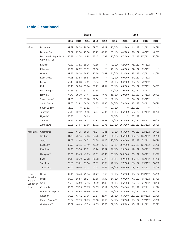|                      |                                       |       |       | <b>Score</b> |       |            |        |                | <b>Rank</b>                     |                 |            |
|----------------------|---------------------------------------|-------|-------|--------------|-------|------------|--------|----------------|---------------------------------|-----------------|------------|
|                      |                                       | 2016  | 2015  | 2014         | 2013  | 2012       | 2016   | 2015           | 2014                            | 2013            | 2012       |
| Africa               | Botswana                              | 91.79 | 88.29 | 90.26        | 89.05 | 92.29      | 12/104 | 14/109         | 14/122                          | 12/112          | 10/96      |
|                      | Burkina Faso                          | 72.37 | 71.90 | 75.50        | 78.22 | 67.69      | 51/104 | 44/109         | 39/122                          | 40/112          | 48/96      |
|                      | Democratic Republic of<br>Congo (DRC) | 60.58 | 42.74 | 40.95        | 33.43 | 20.98      | 70/104 | 87/109         |                                 | 105/122 107/112 | 93/96      |
|                      | Eritrea*                              | 72.50 | 73.81 | 59.28        | 72.50 | $\ast\ast$ | 49/104 | 42/109         | 76/122                          | 48/112          | $**$       |
|                      | Ethiopia*                             | 53.29 | 70.27 | 51.89        | 62.56 | $***$      | 79/104 | 48/109         | 87/122                          | 69/112          | **         |
|                      | Ghana                                 | 81.76 | 69.09 | 74.93        | 77.60 | 71.67      | 31/104 | 52/109         | 42/122                          | 43/112          | 42/96      |
|                      | Ivory Coast*                          | 77.33 | 62.84 | 65.87        | 58.40 | $***$      | 40/104 | 60/109         | 64/122                          | 74/112          |            |
|                      | Kenya                                 | 55.40 | 46.08 | 53.61        | 59.54 | $***$      | 76/104 | 84/109         | 85/122                          | 72/112          | $* *$      |
|                      | Mali                                  | 65.48 | 60.86 | 65.76        | 57.21 | 54.94      | 61/104 | 65/109         | 65/122                          | 77/112          | 64/96      |
|                      | Mozambique*                           | 59.66 | 51.72 | 57.27        | 57.58 | $***$      | 72/104 | 79/109         | 80/122                          | 75/112          |            |
|                      | Namibia                               | 77.77 | 80.70 | 84.44        | 81.52 | 77.76      | 38/104 | 29/109         | 19/122                          | 27/112          | 30/96      |
|                      | Sierra Leone*                         | 51.36 |       | 53.78        | 56.14 | $***$      | 80/104 | $***$          | 84/122                          | 79/112          | **         |
|                      | South Africa                          | 47.50 | 51.91 | 54.24        | 56.85 | 48.90      | 84/104 | 78/109         | 83/122                          | 78/112          | 70/96      |
|                      | South Sudan*                          | 33.99 | $***$ | 17.82        | $***$ | $***$      | 97/104 | $***$          | 120/122                         | $***$           | $\ast\ast$ |
|                      | Tanzania                              | 66.13 | 62.12 | 69.56        | 62.67 | 55.83      | 59/104 | 63/109         | 56/122                          | 67/112          | 62/96      |
|                      | Uganda*                               | 65.86 | $***$ | 64.69        | $***$ | $***$      | 60/104 | $***$          | 66/122                          | $***$           | $**$       |
|                      | Zambia                                | 73.61 | 62.69 | 75.28        | 72.33 | 67.51      | 43/104 | 61/109         | 40/122                          | 49/112          | 50/96      |
|                      | Zimbabwe                              | 18.06 | 24.67 | 13.68        | 17.71 | 10.75      |        |                | 102/104 106/109 121/122 111/112 |                 | 95/96      |
| Argentina            | Catamarca                             | 59.28 | 44.35 | 60.35        | 48.24 | 60.43      | 73/104 | 85/109         | 74/122                          | 92/112          | 60/96      |
|                      | Chubut                                | 31.79 | 25.13 | 34.86        | 37.26 | 34.26      |        | 98/104 105/109 |                                 | 109/122 104/112 | 89/96      |
|                      | Jujuy                                 | 37.07 | 42.68 | 54.31        | 60.29 | 41.20      | 93/104 | 88/109         | 82/122                          | 71/112          | 80/96      |
|                      | La Rioja**                            | 37.96 | 22.15 | 37.40        | 39.99 | 40.10      |        |                | 92/104 107/109 108/122 101/112  |                 | 81/96      |
|                      | Mendoza                               | 34.23 | 35.56 | 27.72        | 43.24 | 39.07      | 96/104 |                | 98/109 117/122                  | 98/112          | 83/96      |
|                      | Neuquen**                             | 50.33 | 25.43 | 49.05        | 49.32 | 49.48      |        | 81/104 104/109 | 95/122                          | 88/112          | 69/96      |
|                      | Salta                                 | 83.13 | 62.30 | 73.28        | 68.08 | 62.20      | 29/104 | 62/109         | 48/122                          | 55/112          | 57/96      |
|                      | San Juan                              | 73.50 |       | 53.61 67.94  | 58.91 | 60.60      |        |                | 46/104 72/109 60/122 73/112     |                 | 58/96      |
|                      | Santa Cruz                            | 62.00 |       | 40.86 42.02  | 47.78 | 46.37      | 69/104 |                | 90/109 103/122                  | 94/112          | 75/96      |
| Latin                | <b>Bolivia</b>                        | 42.16 | 36.40 | 29.34        | 22.27 | 15.50      | 87/104 |                | 95/109 115/122 110/112          |                 | 94/96      |
| America              | <b>Brazil</b>                         | 64.97 | 56.57 | 59.17        | 63.65 | 64.98      | 64/104 | 69/109         | 77/122                          | 65/112          | 53/96      |
| and the<br>Caribbean | Chile                                 | 78.68 | 83.50 | 83.16        | 85.89 | 83.80      | 35/104 | 26/109         | 22/122                          | 21/112          | 18/96      |
| Basin                | Colombia                              | 45.68 | 53.75 | 57.23        | 50.53 | 60.19      | 86/104 | 70/109         | 81/122                          | 87/112          | 61/96      |
|                      | Dominican Republic**                  | 62.04 | 65.55 | 50.99        | 60.35 | 70.06      | 68/104 | 57/109         | 91/122                          | 70/112          | 45/96      |
|                      | Ecuador                               | 34.28 |       | 43.41 27.36  | 23.54 | 23.74      | 95/104 |                | 86/109 118/122 108/112          |                 | 92/96      |
|                      | French Guiana**                       | 79.64 | 52.39 | 58.79        | 67.08 | 67.53      | 34/104 | 74/109         | 78/122                          | 57/112          | 49/96      |
|                      | Guatemala**                           | 40.59 |       | 46.09 47.79  | 48.35 | 36.66      | 89/104 | 83/109         | 98/122                          | 91/112          | 87/96      |

#### **Table 2 continued**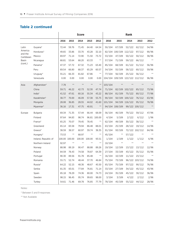#### **Table 2 continued**

|                      |                      |       |               | <b>Score</b> |        |              |         |         | Rank            |                 |            |
|----------------------|----------------------|-------|---------------|--------------|--------|--------------|---------|---------|-----------------|-----------------|------------|
|                      |                      | 2016  | 2015          | 2014         | 2013   | 2012         | 2016    | 2015    | 2014            | 2013            | 2012       |
| Latin                | Guyana*              | 72.44 | 59.76         | 71.45        | 64.40  | 64.54        | 50/104  | 67/109  | 52/122          | 62/112          | 54/96      |
| America              | Honduras*            | 49.65 | 33.86         | 33.70        | 43.28  | 32.10        | 82/104  |         | 100/109 112/122 | 97/112          | 90/96      |
| and the<br>Caribbean | Mexico               | 69.97 | 71.14         | 72.90        | 71.50  | 73.72        | 53/104  | 47/109  | 50/122          | 50/112          | 38/96      |
| Basin                | Nicaragua            | 68.81 | 53.64         | 68.20        | 63.33  | $***$        | 57/104  | 71/109  | 59/122          | 66/112          | $\ast\ast$ |
| (cont.)              | Panama*              | 47.37 | 57.72         | 67.32        | 71.23  | 63.40        | 85/104  | 68/109  | 61/122          | 51/112          | 56/96      |
|                      | Peru                 | 69.54 | 66.80         | 68.37        | 65.29  | 60.57        | 54/104  | 55/109  | 58/122          | 60/112          | 59/96      |
|                      | Uruguay*             | 55.21 | 66.33         | 81.82        | 67.86  | $***$        | 77/104  | 56/109  | 25/122          | 56/112          | $\ast\ast$ |
|                      | Venezuela            | 0.00  | 0.00          | 0.00         | 0.00   | 0.00         | 104/104 | 109/109 |                 | 122/122 112/112 | 96/96      |
| Asia                 | Afghanistan*         | 7.78  | $***$         | $**$         | $**$   | $***$        | 103/104 | $***$   | $\ast\ast$      | $\ast\ast$      | $**$       |
|                      | China                | 59.71 | 46.22         | 42.73        | 52.30  | 47.74        | 71/104  |         | 82/109 102/122  | 85/112          | 73/96      |
|                      | India*               | 41.52 | 47.61         | 60.16        | 55.34  | 43.22        | 88/104  | 81/109  | 75/122          | 80/112          | 77/96      |
|                      | Kazakhstan*          | 38.77 | 70.00         | 46.09        | 57.38  | 55.75        | 90/104  |         | 50/109 100/122  | 76/112          | 63/96      |
|                      | Mongolia             | 28.08 | 36.85         | 28.55        | 44.02  | 41.60        | 101/104 |         | 94/109 116/122  | 95/112          | 78/96      |
|                      | Myanmar*             | 36.16 | 17.31         | 47.75        | 40.91  | $***$        | 94/104  | 108/109 |                 | 99/122 100/112  | $***$      |
| Europe               | <b>Bulgaria</b>      | 69.34 | 71.35         | 57.44        | 66.44  | 68.09        | 56/104  | 46/109  | 79/122          | 59/112          | 47/96      |
|                      | Finland              | 97.64 | 94.83         | 98.74        |        | 96.81 100.00 | 4/104   | 5/109   | 2/122           | 6/112           | 1/96       |
|                      | France*              | 65.25 | 70.07         | 79.45        | 78.45  | $***$        | 62/104  | 49/109  | 30/122          | 38/112          | $\ast\ast$ |
|                      | Greenland            | 65.14 | 83.58         | 79.94        | 86.48  | 88.01        | 63/104  | 25/109  | 28/122          | 19/112          | 14/96      |
|                      | Greece*              | 38.59 | 38.57         | 60.97        | 39.74  | 38.35        | 91/104  | 93/109  |                 | 72/122 102/112  | 84/96      |
|                      | Hungary*             | 73.53 | $***$         | 68.97        | $***$  | $**$         | 45/104  | $***$   | 57/122          | $***$           | $***$      |
|                      | Ireland, Republic of |       | 100.00 100.00 | 100.00       | 100.00 | 93.51        | 1/104   | 1/109   | 1/122           | 1/112           | 6/96       |
|                      | Northern Ireland     | 92.97 | $***$         | $\ast\ast$   | $***$  | $**$         | 10/104  | $***$   | $***$           | $\ast\ast$      |            |
|                      | Norway               | 88.98 | 89.19         | 90.47        | 88.88  | 89.26        | 19/104  | 12/109  | 13/122          | 13/112          | 12/96      |
|                      | Poland               | 84.59 | 78.43         | 74.58        | 78.87  | 64.39        | 27/104  | 33/109  | 43/122          | 35/112          | 55/96      |
|                      | Portugal             | 90.30 | 89.56         | 91.78        | 85.48  | $***$        | 16/104  | 10/109  | 11/122          | 23/112          | $\ast\ast$ |
|                      | Romania              | 55.71 | 52.74         | 48.44        | 37.70  | 46.84        | 75/104  | 73/109  |                 | 96/122 103/112  | 74/96      |
|                      | Russia*              | 64.22 | 52.15         | 48.36        | 48.67  | 45.50        | 65/104  | 75/109  | 97/122          | 90/112          | 76/96      |
|                      | Serbia               | 81.35 | 83.01         | 77.84        | 76.81  | 71.14        | 33/104  | 27/109  | 34/122          | 45/112          | 43/96      |
|                      | Spain                | 85.18 | 78.29         | 74.36        | 80.00  | 74.73        | 24/104  | 35/109  | 45/122          | 30/112          | 36/96      |
|                      | Sweden               | 98.15 | 96.45         | 95.74        | 99.65  | 98.00        | 3/104   | 3/109   | 4/122           | 2/112           | 2/96       |
|                      | Turkey               | 54.61 | 71.46         | 69.78        | 76.85  | 77.79        | 78/104  | 45/109  | 55/122          | 44/112          | 28/96      |

Notes:

\* Between 5 and 9 responses

\*\* Not Available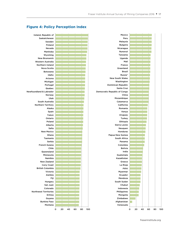

#### **Figure 4: Policy Perception Index**

fraserinstitute.org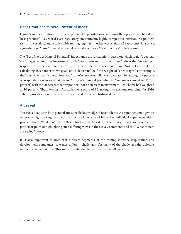#### **Best Practices Mineral Potential Index**

Figure 5 and table 3 show the mineral potential of jurisdictions, assuming their policies are based on "best practices" (i.e., world class regulatory environment, highly competitive taxation, no political risk or uncertainty, and a fully stable mining regime). In other words, figure 5 represents, in a sense, a jurisdiction's "pure" mineral potential, since it assumes a "best practices" policy regime.

The "Best Practice Mineral Potential" index ranks the jurisdictions based on which region's geology "encourages exploration investment" or is "not a deterrent to investment." Since the "encourages" response expresses a much more positive attitude to investment than "Not a Deterrent," in calculating these indexes, we give "not a deterrent" half the weight of "encourages." For example, the "Best Practices Mineral Potential" for Western Australia was calculated by adding the percent of respondents who rated Western Australia's mineral potential as "encourages investment" (76 percent) with the 20 percent that responded "not a deterrent to investment," which was half weighted at 10 percent. Thus, Western Australia has a score of 86, taking into account rounding, for 2016. Table 3 provides more precise information and the recent historical record.

#### **A caveat**

This survey captures both general and specific knowledge of respondents. A respondent may give an otherwise high-scoring jurisdiction a low mark because of his or her individual experience with a problem there. We do not believe this detracts from the value of the survey. In fact, we have made a particular point of highlighting such differing views in the survey comments and the "What miners are saying" quotes.

It is also important to note that different segments of the mining industry (exploration and development companies, say) face different challenges. Yet many of the challenges the different segments face are similar. This survey is intended to capture the overall view.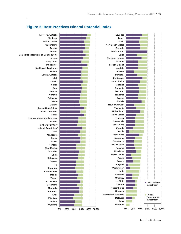

#### **Figure 5: Best Practices Mineral Potential Index**

fraserinstitute.org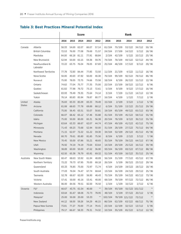#### **Table 3: Best Practices Mineral Potential Index**

|               |                            | <b>Score</b> |       |       |       |       | <b>Rank</b> |        |                |                |       |  |
|---------------|----------------------------|--------------|-------|-------|-------|-------|-------------|--------|----------------|----------------|-------|--|
|               |                            | 2016         | 2015  | 2014  | 2013  | 2012  | 2016        | 2015   | 2014           | 2013           | 2012  |  |
| Canada        | Alberta                    | 58.33        | 54.69 | 62.07 | 66.07 | 57.14 | 61/104      | 70/109 | 53/122         | 34/112         | 50/96 |  |
|               | British Columbia           | 72.53        | 76.00 | 77.08 | 79.69 | 71.57 | 24/104      | 17/109 | 14/122         | 5/112          | 18/96 |  |
|               | Manitoba                   | 84.00        | 66.18 | 81.11 | 77.91 | 68.84 | 2/104       | 42/109 | 5/122          | 10/112         | 25/96 |  |
|               | New Brunswick              | 52.94        | 50.00 | 65.15 | 59.38 | 59.76 | 74/104      | 78/109 | 44/122         | 52/112         | 44/96 |  |
|               | Newfoundland &<br>Labrador | 72.22        | 63.75 | 76.04 | 78.05 | 67.69 | 25/104      | 48/109 | 17/122         | 9/112          | 29/96 |  |
|               | Northwest Territories      | 77.78        | 72.83 | 84.44 | 77.85 | 72.50 | 11/104      | 21/109 | 4/122          | 11/112         | 16/96 |  |
|               | Nova Scotia                | 50.00        | 40.63 | 47.92 | 50.00 | 40.38 | 76/104      | 99/109 | 92/122         | 78/112         | 86/96 |  |
|               | Nunavut                    | 75.00        | 78.05 | 73.75 | 74.66 | 73.58 | 18/104      | 8/109  | 26/122         | 15/112         | 12/96 |  |
|               | Ontario                    | 74.62        | 77.04 | 75.77 | 77.35 | 75.00 | 22/104      | 13/109 | 18/122         | 12/112         | 8/96  |  |
|               | Quebec                     | 81.82        | 77.98 | 79.72 | 73.13 | 72.61 | 5/104       | 9/109  | 9/122          | 17/112         | 16/96 |  |
|               | Saskatchewan               | 83.93        | 79.49 | 79.35 | 75.64 | 74.14 | 3/104       | 7/109  | 11/122         | 14/112         | 12/96 |  |
|               | Yukon                      | 76.14        | 80.83 | 85.94 | 78.87 | 80.77 | 16/104      | 4/109  | 1/122          | 7/112          | 2/96  |  |
| United        | Alaska                     | 76.83        | 83.33 | 85.09 | 83.33 | 78.49 | 15/104      | 2/109  | 3/122          | 1/112          | 5/96  |  |
| <b>States</b> | Arizona                    | 81.08        | 68.63 | 77.78 | 69.89 | 68.12 | 6/104       | 31/109 | 13/122         | 25/112         | 29/96 |  |
|               | California                 | 75.00        | 56.45 | 63.51 | 55.07 | 50.81 | 19/104      | 65/109 | 49/122         | 65/112         | 63/96 |  |
|               | Colorado                   | 66.07        | 68.42 | 65.12 | 57.46 | 55.88 | 41/104      | 33/109 | 45/122         | 58/112         | 55/96 |  |
|               | Idaho                      | 75.00        | 50.00 | 80.00 | 65.31 | 56.38 | 20/104      | 78/109 | 8/122          | 36/112         | 55/96 |  |
|               | Michigan                   | 63.64        | 63.33 | 66.67 | 62.07 | 44.74 | 47/104      | 49/109 | 41/122         | 42/112         | 75/96 |  |
|               | Minnesota                  | 71.43        | 69.23 | 73.68 | 52.94 | 50.00 | 31/104      | 28/109 | 27/122         | 75/112         | 64/96 |  |
|               | Montana                    | 71.15        | 62.07 | 72.22 | 61.22 | 59.30 | 34/104      | 52/109 | 29/122         | 45/112         | 45/96 |  |
|               | Nevada                     | 80.70        | 79.61 | 85.80 | 81.85 | 75.56 | 8/104       | 6/109  | 2/122          | 3/112          | 7/96  |  |
|               | New Mexico                 | 70.45        | 50.00 | 67.86 | 55.21 | 48.65 | 35/104      | 78/109 | 39/122         | 64/112         | 67/96 |  |
|               | Utah                       | 76.92        | 74.19 | 74.19 | 73.64 | 63.64 | 14/104      | 20/109 | 25/122         | 16/112         | 39/96 |  |
|               | Washington                 | 38.89        | 60.00 | 50.00 | 47.62 | 36.90 | 93/104      | 56/109 | 83/122         | 87/112         | 88/96 |  |
|               | Wyoming                    | 62.50        | 65.38 | 76.79 | 65.91 | 69.32 | 51/104      | 43/109 | 16/122         | 35/112         | 25/96 |  |
| Australia     | New South Wales            | 60.47        | 68.63 | 53.92 | 61.94 | 48.89 | 56/104      | 31/109 | 77/122         | 43/112         | 67/96 |  |
|               | Northern Territory         | 72.22        | 79.73 | 67.95 | 70.00 | 68.18 | 26/104      | 5/109  | 38/122         | 23/112         | 29/96 |  |
|               | Queensland                 | 83.33        | 76.85 | 75.00 | 72.97 | 71.74 | 4/104       | 14/109 | 19/122         | 18/112         | 18/96 |  |
|               | South Australia            | 77.03        | 76.04 | 74.47 | 67.74 | 68.64 | 13/104      | 16/109 | 24/122         | 29/112         | 25/96 |  |
|               | Tasmania                   | 52.78        | 66.67 | 62.00 | 56.90 | 46.43 | 75/104      | 35/109 | 54/122         | 60/112         | 73/96 |  |
|               | Victoria                   | 57.41        | 50.00 | 45.16 | 53.41 | 40.00 | 68/104      | 78/109 | 97/122         | 72/112         | 86/96 |  |
|               | Western Australia          | 86.00        | 84.56 | 79.51 | 82.00 | 76.50 | 1/104       | 1/109  | 10/122         | 2/112          | 6/96  |  |
| Oceania       | Fiji*                      | 66.67        | 43.75 | 61.54 | 40.00 | $***$ | 39/104      | 93/109 |                | 55/122 101/112 | $**$  |  |
|               | Indonesia                  | 63.64        | 81.67 | 68.06 | 72.73 | 78.95 | 48/104      | 3/109  | 37/122         | 20/112         | 3/96  |  |
|               | Malaysia*                  | 25.00        | 50.00 | 20.00 | 53.33 | $***$ | 102/104     |        | 78/109 121/122 | 73/112         | $***$ |  |
|               | New Zealand                | 44.12        | 58.00 | 59.26 | 54.29 | 46.15 | 86/104      | 62/109 | 63/122         | 68/112         | 75/96 |  |
|               | Papua New Guinea           | 73.81        | 77.27 | 70.00 | 77.14 | 79.41 | 23/104      | 12/109 | 32/122         | 13/112         | 3/96  |  |
|               | Philippines                | 79.17        | 66.67 | 58.33 | 79.31 | 74.32 | 10/104      | 35/109 | 65/122         | 6/112          | 12/96 |  |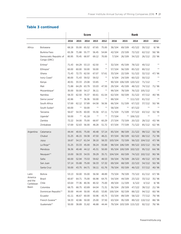|                      |                                       |       |       | <b>Score</b> |       |       |         |                | <b>Rank</b>            |                |            |
|----------------------|---------------------------------------|-------|-------|--------------|-------|-------|---------|----------------|------------------------|----------------|------------|
|                      |                                       | 2016  | 2015  | 2014         | 2013  | 2012  | 2016    | 2015           | 2014                   | 2013           | 2012       |
| Africa               | <b>Botswana</b>                       | 68.18 | 55.00 | 65.52        | 67.65 | 75.00 | 38/104  | 69/109         | 43/122                 | 30/112         | 8/96       |
|                      | <b>Burkina Faso</b>                   | 65.38 | 71.88 | 55.77        | 56.45 | 54.84 | 42/104  | 23/109         | 72/122                 | 62/112         | 58/96      |
|                      | Democratic Republic of<br>Congo (DRC) | 80.95 | 70.45 | 68.97        | 69.12 | 70.00 | 7/104   | 26/109         | 34/122                 | 26/112         | 23/96      |
|                      | Eritrea*                              | 71.43 | 64.29 | 53.13        | 62.50 | $***$ | 32/104  | 45/109         | 78/122                 | 40/112         | **         |
|                      | Ethiopia*                             | 60.00 | 60.00 | 50.00        | 50.00 | $***$ | 57/104  | 56/109         | 85/122                 | 80/112         | **         |
|                      | Ghana                                 | 71.43 | 72.73 | 62.50        | 67.07 | 57.61 | 33/104  | 22/109         | 51/122                 | 32/112         | 47/96      |
|                      | Ivory Coast*                          | 80.00 | 71.43 | 59.52        | 59.52 | $***$ | 9/104   | 24/109         | 60/122                 | 50/112         |            |
|                      | Kenya                                 | 40.91 | 33.33 | 23.08        | 53.85 | $***$ | 90/104  | 106/109        | 120/122                | 71/112         | $* *$      |
|                      | Mali                                  | 71.88 | 64.29 | 63.79        | 53.03 | 47.50 | 29/104  | 45/109         | 48/122                 | 74/112         | 71/96      |
|                      | Mozambique*                           | 30.00 | 50.00 | 54.17        | 36.11 | $***$ | 99/104  | 78/109         |                        | 76/122 105/112 |            |
|                      | Namibia                               | 58.33 | 62.50 | 70.37        | 60.61 | 61.54 | 62/104  | 50/109         | 31/122                 | 47/112         | 40/96      |
|                      | Sierra Leone*                         | 42.86 | $***$ | 36.36        | 50.00 | $***$ | 88/104  | $***$          | 111/122                | 81/112         | **         |
|                      | South Africa                          | 57.69 | 62.12 | 57.89        | 64.58 | 56.56 | 66/104  | 51/109         | 67/122                 | 37/112         | 50/96      |
|                      | South Sudan*                          | 60.00 | $***$ | 50.00        | $***$ | $***$ | 58/104  | $***$          | 87/122                 | $***$          | $\ast\ast$ |
|                      | Tanzania                              | 56.67 | 54.35 | 60.00        | 55.56 | 67.11 | 71/104  | 71/109         | 57/122                 | 63/112         | 32/96      |
|                      | Uganda*                               | 50.00 | $***$ | 41.18        | $***$ | $***$ | 77/104  | **             | 106/122                | $***$          | $**$       |
|                      | Zambia                                | 72.22 | 54.00 | 75.00        | 68.97 | 60.29 | 27/104  | 73/109         | 20/122                 | 28/112         | 43/96      |
|                      | Zimbabwe                              | 57.69 | 52.63 | 56.00        | 48.28 | 51.72 | 67/104  | 77/109         | 71/122                 | 85/112         | 62/96      |
| Argentina            | Catamarca                             | 44.44 | 40.91 | 75.00        | 40.48 | 57.14 | 85/104  | 98/109         | 21/122                 | 99/112         | 50/96      |
|                      | Chubut                                | 31.25 | 46.15 | 59.38        | 47.50 | 48.21 | 97/104  | 90/109         | 62/122                 | 88/112         | 71/96      |
|                      | Jujuy                                 | 16.67 | 54.17 | 61.54        | 38.10 | 58.33 | 103/104 | 72/109         |                        | 56/122 104/112 | 47/96      |
|                      | La Rioja**                            | 31.25 | 33.33 | 45.00        | 38.24 | 55.88 |         | 98/104 106/109 |                        | 99/122 103/112 | 55/96      |
|                      | Mendoza                               | 36.36 | 40.48 | 44.12        | 45.31 | 50.00 |         | 95/104 100/109 | 102/122                | 95/112         | 64/96      |
|                      | Neuguen**                             | 10.00 | 58.33 | 54.55        | 39.29 | 35.71 | 104/104 | 60/109         |                        | 74/122 102/112 | 90/96      |
|                      | Salta                                 | 60.00 | 52.94 | 73.53        | 59.62 | 48.53 | 59/104  | 76/109         | 28/122                 | 49/112         | 67/96      |
|                      | San Juan                              | 57.14 |       | 55.88 75.00  | 58.33 | 57.32 | 69/104  | 68/109         | 22/122                 | 54/112         | 50/96      |
|                      | Santa Cruz                            | 50.00 |       | 43.75 64.71  | 58.11 | 61.76 | 78/104  | 93/109         | 46/122                 | 57/112         | 40/96      |
| Latin                | <b>Bolivia</b>                        | 53.13 | 50.00 | 55.00        | 56.58 | 48.89 | 73/104  | 78/109         | 73/122                 | 61/112         | 67/96      |
| America              | <b>Brazil</b>                         | 60.87 |       | 64.71 75.00  | 66.98 | 64.75 | 54/104  | 44/109         | 23/122                 | 33/112         | 35/96      |
| and the<br>Caribbean | Chile                                 | 63.64 | 77.36 | 80.36        | 80.32 | 75.00 | 49/104  | 11/109         | 6/122                  | 4/112          | 8/96       |
| Basin                | Colombia                              | 68.75 | 68.75 | 63.89        | 64.04 | 71.31 | 36/104  | 29/109         | 47/122                 | 38/112         | 21/96      |
|                      | Dominican Republic**                  | 30.00 | 44.44 | 50.00        | 45.65 | 53.85 | 100/104 | 92/109         | 88/122                 | 94/112         | 60/96      |
|                      | Ecuador                               | 61.11 | 46.67 | 60.00        | 50.96 | 43.75 | 53/104  | 89/109         | 58/122                 | 77/112         | 79/96      |
|                      | French Guiana**                       | 58.33 | 42.86 | 50.00        | 25.00 | 37.50 | 63/104  | 95/109         |                        | 89/122 110/112 | 88/96      |
|                      | Guatemala**                           | 50.00 |       | 38.89 31.82  | 46.88 | 44.44 |         |                | 79/104 103/109 115/122 | 92/112         | 78/96      |

#### **Table 3 continued**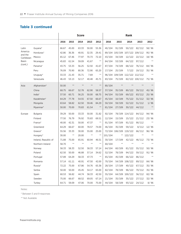#### **Table 3 continued**

|                      |                      |       |       | <b>Score</b> |            |            |         |         | <b>Rank</b>                    |                |            |
|----------------------|----------------------|-------|-------|--------------|------------|------------|---------|---------|--------------------------------|----------------|------------|
|                      |                      | 2016  | 2015  | 2014         | 2013       | 2012       | 2016    | 2015    | 2014                           | 2013           | 2012       |
| Latin                | Guyana*              | 66.67 | 45.00 | 63.33        | 50.00      | 55.36      | 40/104  | 91/109  | 50/122                         | 82/112         | 58/96      |
| America              | Honduras*            | 42.86 | 36.36 | 40.91        | 32.35      | 29.41      | 89/104  |         | 105/109 107/122 109/112        |                | 95/96      |
| and the<br>Caribbean | Mexico               | 65.12 | 67.46 | 77.97        | 70.73      | 72.10      | 43/104  | 34/109  | 12/122                         | 22/112         | 18/96      |
| <b>Basin</b>         | Nicaragua            | 45.83 | 61.54 | 59.09        | 41.67      | **         | 84/104  | 53/109  | 64/122                         | 97/112         | $\ast\ast$ |
| (cont.)              | Panama*              | 43.75 | 53.33 | 56.25        | 52.50      | 41.67      | 87/104  | 74/109  | 68/122                         | 76/112         | 84/96      |
|                      | Peru                 | 76.09 | 70.90 | 80.36        | 72.90      | 65.20      | 17/104  | 25/109  | 7/122                          | 19/112         | 35/96      |
|                      | Uruguay*             | 33.33 | 21.43 | 35.71        | 7.69       | $\ast\ast$ |         |         | 96/104 109/109 112/122 112/112 |                | $\ast\ast$ |
|                      | Venezuela            | 46.43 | 53.13 | 52.17        | 40.48      | 45.71      | 83/104  | 75/109  |                                | 82/122 100/112 | 75/96      |
| Asia                 | Afghanistan*         | 50.00 | $***$ | $**$         | $**$       | $**$       | 80/104  | $***$   | $**$                           | $***$          | $***$      |
|                      | China                | 68.75 | 66.67 | 52.78        | 62.90      | 58.57      | 37/104  | 35/109  | 80/122                         | 39/112         | 45/96      |
|                      | India*               | 37.50 | 60.71 | 56.25        | 50.00      | 68.75      | 94/104  | 55/109  | 69/122                         | 83/112         | 25/96      |
|                      | Kazakhstan*          | 64.29 | 77.78 | 54.55        | 67.50      | 66.67      | 45/104  | 10/109  | 75/122                         | 31/112         | 32/96      |
|                      | Mongolia             | 63.64 | 58.82 | 62.50        | 59.46      | 84.29      | 50/104  | 59/109  | 52/122                         | 51/112         | 1/96       |
|                      | Myanmar*             | 50.00 | 70.00 | 70.83        | 61.54      | $***$      | 81/104  | 27/109  | 30/122                         | 44/112         | $\ast\ast$ |
| Europe               | <b>Bulgaria</b>      | 39.29 | 50.00 | 33.33        | 50.00      | 31.82      | 92/104  |         | 78/109 114/122                 | 84/112         | 94/96      |
|                      | Finland              | 77.50 | 76.79 | 76.92        | 70.83      | 69.51      | 12/104  | 15/109  | 15/122                         | 21/112         | 23/96      |
|                      | France*              | 40.00 | 42.31 | 50.00        | 47.37      | $***$      | 91/104  | 97/109  | 91/122                         | 90/112         | $\ast\ast$ |
|                      | Greenland            | 64.29 | 66.67 | 60.00        | 78.57      | 74.00      | 46/104  | 35/109  | 59/122                         | 8/112          | 12/96      |
|                      | Greece*              | 55.56 | 33.33 | 30.00        | 55.00      | 25.00      | 72/104  | 106/109 | 119/122                        | 66/112         | 96/96      |
|                      | Hungary*             | 30.00 | $***$ | 20.00        | $***$      | $***$      | 101/104 | **      | 122/122                        | $***$          | **         |
|                      | Ireland, Republic of | 71.88 | 75.00 | 65.91        | 60.94      | 46.51      | 30/104  | 17/109  | 42/122                         | 46/112         | 73/96      |
|                      | Northern Ireland     | 58.70 | $***$ | $\ast\ast$   | $\ast\ast$ | $\ast\ast$ | 60/104  | $***$   | $**$                           | $**$           | $^{**}$    |
|                      | Norway               | 58.33 | 58.33 | 52.50        | 58.33      | 57.14      | 64/104  | 60/109  | 81/122                         | 55/112         | 50/96      |
|                      | Poland               | 62.50 | 50.00 | 46.88        | 57.14      | 34.62      | 52/104  | 78/109  | 94/122                         | 59/112         | 91/96      |
|                      | Portugal             | 57.89 | 64.29 | 58.33        | 47.73      | $***$      | 65/104  | 45/109  | 66/122                         | 86/112         | $\ast\ast$ |
|                      | Romania              | 57.14 | 61.11 | 40.91        | 47.50      | 42.00      | 70/104  |         | 54/109 108/122                 | 89/112         | 84/96      |
|                      | Russia*              | 72.22 | 75.00 | 67.86        | 54.76      | 65.38      | 28/104  | 17/109  | 40/122                         | 67/112         | 35/96      |
|                      | Serbia               | 50.00 | 50.00 | 45.45        | 54.17      | 65.00      | 82/104  | 78/109  | 96/122                         | 70/112         | 35/96      |
|                      | Spain                | 60.53 | 56.82 | 44.74        | 58.33      | 42.50      | 55/104  |         | 64/109 100/122                 | 56/112         | 82/96      |
|                      | Sweden               | 75.00 | 66.67 | 68.52        | 69.05      | 67.14      | 21/104  | 35/109  | 35/122                         | 27/112         | 32/96      |
|                      | Turkey               | 64.71 | 59.09 | 47.06        | 70.00      | 75.00      | 44/104  | 58/109  | 93/122                         | 24/112         | 8/96       |

Notes:

\* Between 5 and 9 responses

\*\* Not Available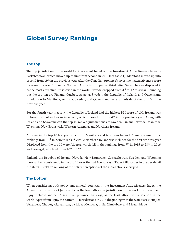## **Global Survey Rankings**

#### **The top**

The top jurisdiction in the world for investment based on the Investment Attractiveness Index is Saskatchewan, which moved up to first from second in 2015 (see table 1). Manitoba moved up into second from 19th in the previous year, after the Canadian province's investment attractiveness score increased by over 10 points. Western Australia dropped to third, after Saskatchewan displaced it as the most attractive jurisdiction in the world. Nevada dropped from  $3<sup>rd</sup>$  to  $4<sup>th</sup>$  this year. Rounding out the top ten are Finland, Quebec, Arizona, Sweden, the Republic of Ireland, and Queensland. In addition to Manitoba, Arizona, Sweden, and Queensland were all outside of the top 10 in the previous year.

For the fourth year in a row, the Republic of Ireland had the highest PPI score of 100. Ireland was followed by Saskatchewan in second, which moved up from  $4<sup>th</sup>$  in the previous year. Along with Ireland and Saskatchewan the top 10 ranked jurisdictions are Sweden, Finland, Nevada, Manitoba, Wyoming, New Brunswick, Western Australia, and Northern Ireland.

All were in the top 10 last year except for Manitoba and Northern Ireland. Manitoba rose in the rankings from 13<sup>th</sup> in 2015 to rank 6<sup>th</sup>, while Northern Ireland was included for the first time this year. Displaced from the top 10 were Alberta, which fell in the rankings from 7<sup>th</sup> in 2015 to 28<sup>th</sup> in 2016, and Portugal, which fell from 10<sup>th</sup> to 16<sup>th</sup>.

Finland, the Republic of Ireland, Nevada, New Brunswick, Saskatchewan, Sweden, and Wyoming have ranked consistently in the top 10 over the last five surveys. Table 2 illustrates in greater detail the shifts in relative ranking of the policy perceptions of the jurisdictions surveyed.

#### **The bottom**

When considering both policy and mineral potential in the Investment Attractiveness Index, the Argentinian province of Jujuy ranks as the least attractive jurisdiction in the world for investment. Jujuy replaced another Argentinian province, La Rioja, as the least attractive jurisdiction in the world. Apart from Jujuy, the bottom 10 jurisdictions in 2016 (beginning with the worst) are Neuquen, Venezuela, Chubut, Afghanistan, La Rioja, Mendoza, India, Zimbabwe, and Mozambique.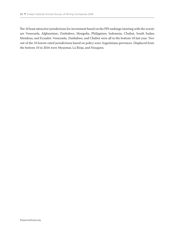The 10 least attractive jurisdictions for investment based on the PPI rankings (starting with the worst) are Venezuela, Afghanistan, Zimbabwe, Mongolia, Philippines, Indonesia, Chubut, South Sudan, Mendoza, and Ecuador. Venezuela, Zimbabwe, and Chubut were all in the bottom 10 last year. Two out of the 10 lowest-rated jurisdictions based on policy were Argentinian provinces. Displaced from the bottom 10 in 2016 were Myanmar, La Rioja, and Neuquen.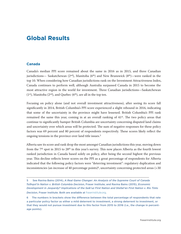## **Global Results**

#### **Canada**

Canada's median PPI score remained about the same in 2016 as in 2015, and three Canadian jurisdictions— Saskatchewan ( $2<sup>nd</sup>$ ), Manitoba ( $6<sup>th</sup>$ ) and New Brunswick ( $8<sup>th</sup>$ )—were ranked in the top 10. When considering how Canadian jurisdictions rank on the Investment Attractiveness Index, Canada continues to perform well, although Australia surpassed Canada in 2015 to become the most attractive region in the world for investment. Three Canadian jurisdictions—Saskatchewan  $(1<sup>st</sup>)$ , Manitoba  $(2<sup>nd</sup>)$ , and Quebec  $(6<sup>th</sup>)$ , are all in the top ten.

Focusing on policy alone (and not overall investment attractiveness), after seeing its score fall significantly in 2014, British Columbia's PPI score experienced a slight rebound in 2016, indicating that some of the uncertainty in the province might have lessened. British Columbia's PPI rank remained the same this year, coming in at an overall ranking of  $41<sup>st</sup>$ . The two policy areas that continue to significantly hamper British Columbia are uncertainty concerning disputed land claims and uncertainty over which areas will be protected. The sum of negative responses for these policy factors was 69 percent and 80 percent of respondents respectively. These scores likely reflect the ongoing tensions in the province over land title issues.5

Alberta saw its score and rank drop the most amongst Canadian jurisdictions this year, moving down from the 7<sup>th</sup> spot in 2015 to 28<sup>th</sup> in this year's survey. This now places Alberta as the fourth lowest ranked jurisdiction in Canada based solely on policy, after being the second highest the previous year. This decline reflects lower scores on the PPI as a great percentage of respondents for Alberta indicated that the following policy factors were "deterring investment": regulatory duplication and inconsistencies (an increase of 40 percentage points)<sup>6</sup>, uncertainty concerning protected areas  $(+30)$ 

<sup>5</sup> See Ravina Bains (2014), *A Real Game Changer: An Analysis of the Supreme Court of Canada Tsilhqot'in Nation v. British Columbia Decision*, Fraser Institute; and Ravina Bains (2015), *Economic Development in Jeopardy? Implications of the Saik'uz First Nation and Stellat'en First Nation v. Rio Tinto Decision*, Fraser Institute. Both are available at [fraserinstitute.org](http://www.fraserinstitute.org).

<sup>6</sup> The numbers in brackets show the difference between the total percentage of respondents that rate a particular policy factor as either a mild deterrent to investment, a strong deterrent to investment, or that they would not pursue investment due to this factor from 2015 to 2016 (i.e., the change in percentage points).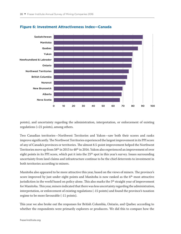

#### **Figure 6: Investment Attractiveness Index—Canada**

points), and uncertainty regarding the administration, interpretation, or enforcement of existing regulations (+21 points), among others.

Two Canadian territories—Northwest Territories and Yukon—saw both their scores and ranks improve significantly. The Northwest Territories experienced the largest improvement in its PPI score of any of Canada's provinces or territories. The almost 8.5-point improvement helped the Northwest Territories move up from 58<sup>th</sup> in 2015 to 48<sup>th</sup> in 2016. Yukon also experienced an improvement of over eight points in its PPI score, which put it into the 25<sup>th</sup> spot in this year's survey. Issues surrounding uncertainty from land claims and infrastructure continue to be the chief deterrents to investment in both territories according to miners.

Manitoba also appeared to be more attractive this year, based on the views of miners. The province's score improved by just under eight points and Manitoba is now ranked as the  $6<sup>th</sup>$  most attractive jurisdiction in the world based on policy alone. This also marks the 5<sup>th</sup> straight year of improvement for Manitoba. This year, miners indicated that there was less uncertainty regarding the administration, interpretation, or enforcement of existing regulations (-15 points) and found the province's taxation regime to be more favourable (-11 points).

This year we also broke out the responses for British Columbia, Ontario, and Quebec according to whether the respondents were primarily explorers or producers. We did this to compare how the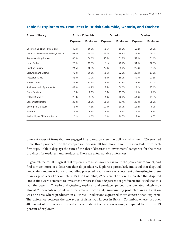| <b>Areas of Policy</b>                |                  | <b>British Columbia</b> |                  | <b>Ontario</b>   | Quebec           |                  |  |
|---------------------------------------|------------------|-------------------------|------------------|------------------|------------------|------------------|--|
|                                       | <b>Explorers</b> | <b>Producers</b>        | <b>Explorers</b> | <b>Producers</b> | <b>Explorers</b> | <b>Producers</b> |  |
| <b>Uncertain Existing Regulations</b> | 49.0%            | 36.0%                   | 33.3%            | 36.3%            | 19.2%            | 20.0%            |  |
| Uncertain Environmental Regulations   | 68.0%            | 68.0%                   | 36.7%            | 34.8%            | 29.6%            | 20.0%            |  |
| <b>Regulatory Duplication</b>         | 60.9%            | 50.0%                   | 36.6%            | 31.8%            | 37.0%            | 31.6%            |  |
| Legal System                          | 23.5%            | 12.5%                   | 16.1%            | 22.7%            | 34.5%            | 10.5%            |  |
| <b>Taxation Regime</b>                | 23.5%            | 40.9%                   | 25.8%            | 35.0%            | 25.9%            | 31.3%            |  |
| <b>Disputed Land Claims</b>           | 72.0%            | 60.8%                   | 53.3%            | 52.3%            | 25.9%            | 17.6%            |  |
| <b>Protected Areas</b>                | 82.0%            | 72.7%                   | 56.6%            | 38.1%            | 40.7%            | 23.5%            |  |
| Infrastructure                        | 24.5%            | 33.4%                   | 23.3%            | 31.8%            | 25.9%            | 11.1%            |  |
| Socioeconomic Agreements              | 42.0%            | 40.9%                   | 23.4%            | 30.0%            | 22.2%            | 17.6%            |  |
| <b>Trade Barriers</b>                 | 8.0%             | 0.0%                    | 3.3%             | 11.8%            | 11.5%            | 6.7%             |  |
| <b>Political Stability</b>            | 22.0%            | 9.1%                    | 13.4%            | 10.0%            | 33.3%            | 11.8%            |  |
| Labour Regulations                    | 26.0%            | 25.0%                   | 13.3%            | 33.4%            | 26.9%            | 25.0%            |  |
| <b>Geological Database</b>            | 5.9%             | 4.8%                    | 10.0%            | 16.7%            | 15.4%            | 6.7%             |  |
| Security                              | 4.0%             | 9.5%                    | 3.3%             | 5.3%             | 4.0%             | 6.3%             |  |
| Availability of Skills and Labour     | 10.1%            | 0.0%                    | 0.0%             | 10.5%            | 3.8%             | 6.3%             |  |

#### **Table 6: Explorers vs. Producers in British Columbia, Ontario, and Quebec**

different types of firms that are engaged in exploration view the policy environment. We selected these three provinces for the comparison because all had more than 10 respondents from each firm type. Table 6 displays the sum of the three "deterrent to investment" categories for the three provinces for explorers and producers. There are a few notable differences.

In general, the results suggest that explorers are much more sensitive to the policy environment, and find it much more of a deterrent than do producers**.** Explorers particularly indicated that disputed land claims and uncertainty surrounding protected areas is more of a deterrent to investing for them than for producers. For example, in British Columbia, 72 percent of explorers indicated that disputed land claims were deterrent to investment, whereas about 60 percent of producers indicated that this was the case. In Ontario and Quebec, explorer and producer perceptions deviated widely—by almost 20 percentage points—in the area of uncertainty surrounding protected areas. Taxation was one area where producers in all three jurisdictions expressed more concern than explorers. The difference between the two types of firms was largest in British Columbia, where just over 40 percent of producers expressed concerns about the taxation regime, compared to just over 23 percent of explorers.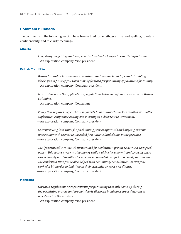#### **Comments: Canada**

The comments in the following section have been edited for length, grammar and spelling, to retain confidentiality, and to clarify meanings.

#### **Alberta**

*Long delays in getting land use permits closed out; changes to rules/interpretation.* —An exploration company, Vice-president

#### **British Columbia**

*British Columbia has too many conditions and too much red tape and stumbling blocks put in front of you when moving forward for permitting applications for mining.* —An exploration company, Company president

*Inconsistencies in the application of regulations between regions are an issue in British Columbia.*

—An exploration company, Consultant

*Policy that requires higher claim payments to maintain claims has resulted in smaller exploration companies exiting and is acting as a deterrent to investment. —*An exploration company, Company president

*Extremely long lead times for final mining project approvals and ongoing extreme uncertainty with respect to unsettled first nations land claims in the province. —*An exploration company, Company president

*The "guaranteed" two-month turnaround for exploration permit review is a very good policy. This year we were raising money while waiting for a permit and knowing there was relatively hard deadline for a yes or no provided comfort and clarity on timelines. The condensed time frame also helped with community consultation, as everyone worked a bit harder to find time in their schedules to meet and discuss. —*An exploration company, Company president

#### **Manitoba**

*Unstated regulations or requirements for permitting that only come up during the permitting process and are not clearly disclosed in advance are a deterrent to investment in the province.*

—An exploration company, Vice-president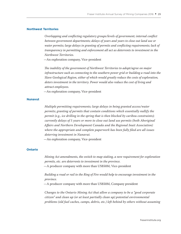#### **Northwest Territories**

*Overlapping and conflicting regulatory groups/levels of government; internal conflict between government departments; delays of years and years to close out land use or water permits; large delays in granting of permits and conflicting requirements; lack of transparency in permitting and enforcement all act as deterrents to investment in the Northwest Territories.*

*—*An exploration company, Vice-president

*The inability of the government of Northwest Territories to adopt/agree on major infrastructure such as connecting to the southern power grid or building a road into the Slave Geological Region, either of which would greatly reduce the costs of exploration, deters investment in the territory. Power would also reduce the cost of living and attract employees.*

*—*An exploration company, Vice-president

#### **Nunavut**

*Multiple permitting requirements; large delays in being granted access/water permits; granting of permits that contain conditions which essentially nullify the permit (e.g., ice drilling in the spring that is then blocked by caribou constraints); currently delays of 5 years or more to close out land use permits (both Aboriginal Affairs and Northern Development Canada and the Regional Inuit Association) where the appropriate and complete paperwork has been fully filed are all issues deterring investment in Nunavut.*

—An exploration company, Vice-president

#### **Ontario**

*Mining Act amendments, the switch to map staking, a new requirement for exploration permits, etc. are deterrents to investment in the province.* —A producer company with more than US\$50M, Vice-president

*Building a road or rail to the Ring of Fire would help to encourage investment in the province.*

—A producer company with more than US\$50M, Company president

*Changes to the Ontario Mining Act that allow a company to be a "good corporate citizen" and clean up (or at least partially clean up) potential environmental problems (old fuel caches, camps, debris, etc.) left behind by others without assuming*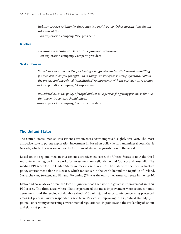*liability or responsibility for those sites is a positive step. Other jurisdictions should take note of this.*

*—*An exploration company, Vice-president

#### **Quebec**

*The uranium moratorium has cost the province investments. —*An exploration company, Company president

#### **Saskatchewan**

*Saskatchewan promotes itself as having a progressive and easily followed permitting process, but when you get right into it, things are not quite so straightforward, both in the process and the related "consultation" requirements with the various native groups.* —An exploration company, Vice-president

*In Saskatchewan the policy of staged and set time periods for getting permits is the one that the entire country should adopt.*

*—*An exploration company, Company president

#### **The United States**

The United States' median investment attractiveness score improved slightly this year. The most attractive state to pursue exploration investment in, based on policy factors and mineral potential, is Nevada, which this year ranked as the fourth most attractive jurisdiction in the world.

Based on the region's median investment attractiveness score, the United States is now the third most attractive region in the world for investment, only slightly behind Canada and Australia. The median PPI score for the United States increased again in 2016. The state with the most attractive policy environment alone is Nevada, which ranked 5<sup>th</sup> in the world behind the Republic of Ireland, Saskatchewan, Sweden, and Finland. Wyoming  $(7<sup>th</sup>)$  was the only other American state in the top 10.

Idaho and New Mexico were the two US jurisdictions that saw the greatest improvement in their PPI scores. The three areas where Idaho experienced the most improvement were socioeconomic agreements and the geological database (both -10 points), and uncertainty concerning protected areas (-4 points). Survey respondents saw New Mexico as improving in its political stability (-15 points), uncertainty concerning environmental regulations (-14 points), and the availability of labour and skills (-8 points).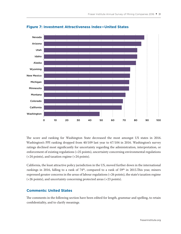

#### **Figure 7: Investment Attractiveness Index—United States**

The score and ranking for Washington State decreased the most amongst US states in 2016. Washington's PPI ranking dropped from 40/109 last year to 67/104 in 2016. Washington's survey ratings declined most significantly for uncertainty regarding the administration, interpretation, or enforcement of existing regulations (+25 points), uncertainty concerning environmental regulations (+24 points), and taxation regime (+24 points).

California, the least attractive policy jurisdiction in the US, moved further down in the international rankings in 2016, falling to a rank of 74<sup>th</sup>, compared to a rank of 59<sup>th</sup> in 2015. This year, miners expressed greater concerns in the areas of labour regulations (+26 points), the state's taxation regime (+26 points), and uncertainty concerning protected areas (+23 points).

#### **Comments: United States**

The comments in the following section have been edited for length, grammar and spelling, to retain confidentiality, and to clarify meanings.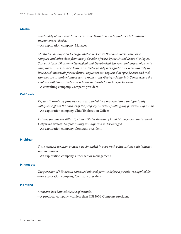#### **Alaska**

*Availability of the Large Mine Permitting Team to provide guidance helps attract investment to Alaska.*

—An exploration company, Manager

*Alaska has developed a Geologic Materials Center that now houses core, rock samples, and other data from many decades of work by the United States Geological Survey, Alaska Division of Geological and Geophysical Surveys, and dozens of private companies. This Geologic Materials Center facility has significant excess capacity to house such materials for the future. Explorers can request that specific core and rock samples are assembled into a secure room at the Geologic Materials Center where the explorer will have private access to the materials for as long as he wishes.* —A consulting company, Company president

#### **California**

*Exploration/mining property was surrounded by a protected area that gradually collapsed right to the borders of the property essentially killing any potential expansion.* —An exploration company, Chief Exploration Officer

*Drilling permits are difficult, United States Bureau of Land Management and state of California overlap. Surface mining in California is discouraged.* —An exploration company, Company president

#### **Michigan**

*State mineral taxation system was simplified in cooperative discussions with industry representatives.*

—An exploration company, Other senior managemen*t*

#### **Minnesota**

*The governor of Minnesota cancelled mineral permits before a permit was applied for. —*An exploration company, Company president

#### **Montana**

*Montana has banned the use of cyanide.* —A producer company with less than US\$50M, Company president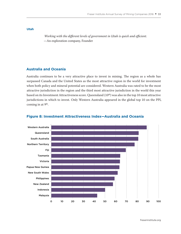**Utah**

*Working with the different levels of government in Utah is quick and efficient.* —An exploration company, Founder

## **Australia and Oceania**

Australia continues to be a very attractive place to invest in mining. The region as a whole has surpassed Canada and the United States as the most attractive region in the world for investment when both policy and mineral potential are considered. Western Australia was rated to be the most attractive jurisdiction in the region and the third most attractive jurisdiction in the world this year based on its Investment Attractiveness score. Queensland (10<sup>th</sup>) was also in the top 10 most attractive jurisdictions in which to invest. Only Western Australia appeared in the global top 10 on the PPI, coming in at 9th.



#### **Figure 8: Investment Attractiveness Index—Australia and Oceania**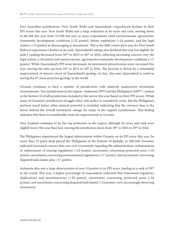Two Australian jurisdictions—New South Wales and Queensland—experienced declines in their PPI scores this year. New South Wales saw a large reduction in its score and rank, moving down to 66/104 this year from 51/109 last year as more respondents rated socioeconomic agreements/ community development conditions (+22 points), labour regulations (+14 points), and the legal system (+13 points) as discouraging to investment. This is the fifth consecutive year for New South Wales to experience a decline in its rank. Queensland's ratings also declined this year, but slightly. Its policy ranking decreased from  $32<sup>nd</sup>$  in 2015 to 36<sup>th</sup> in 2016, reflecting increasing concern over the legal system (+18 points) and socioeconomic agreements/community development conditions (+17 points). While Queensland's PPI score decreased, its investment attractiveness score increased this year, moving the state up from  $16<sup>th</sup>$  in 2015 to 10<sup>th</sup> in 2016. The increase is driven by a substantial improvement in miners' views of Queensland's geology. In fact, this year Queensland is rated as having the 4<sup>th</sup> most attractive geology in the world.

Oceania continues to have a number of jurisdictions with relatively unattractive investment environments. Two jurisdictions in the region—Indonesia (99<sup>th</sup>) and the Philippines (100<sup>th</sup>)—ranked in the bottom 10 of all jurisdictions included in the survey this year based on their PPI scores. While many of Oceania's jurisdictions struggle when only policy is considered, some, like the Philippines, perform much better when mineral potential is included, indicating that the resource base is the driver behind the overall investment ratings for many of the region's jurisdictions. This finding indicates that there is considerable room for improvement in Oceania.

New Zealand continues to be the top performer in the region, although its score and rank were slightly lower this year than last, moving the jurisdiction down from  $30<sup>th</sup>$  in  $2015$  to  $39<sup>th</sup>$  in  $2016$ .

The Philippines experienced the largest deterioration within Oceania on its PPI score this year. Its more than 12-point drop placed the Philippines in the bottom 10 globally, at 100/104. Investors indicated increased concern this year over uncertainty regarding the administration, interpretation, or enforcement of existing regulations (+23 points), uncertainty concerning protected areas (+22 points), uncertainty concerning environmental regulations (+17 points). and uncertainty concerning disputed land claims (also +17 points).

Indonesia also saw a large deterioration of over 10 points in its PPI score, leading to a rank of 99th in the world. This year, a higher percentage of respondents indicated that Indonesia's regulatory duplications and inconsistencies (+20 points), uncertainty concerning protected areas (+16 points), and uncertainty concerning disputed land claims (+15 points), were increasingly deterring investment.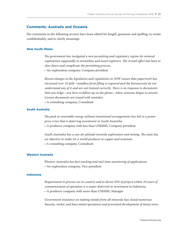## **Comments: Australia and Oceania**

The comments in the following section have been edited for length, grammar and spelling, to retain confidentiality, and to clarify meanings.

#### **New South Wales**

*The government has instigated a new permitting and regulatory regime for mineral exploration supposedly to streamline and assist explorers. The overall effect has been to slow down and complicate the permitting process.* —An exploration company, Company president

*Recent changes in the legislation and regulations in NSW ensure that paperwork has increased over 10-fold—mindless form filling is required and the bureaucrats do not understand any of it and are not trained correctly. There is no response to documents that you lodge—you have to follow up on the phone—when someone deigns to answer. License documents are issued with mistakes.* —A consulting company, Consultant

#### **South Australia**

*The push to renewable energy without transitional arrangements has led to a power price crisis that is deterring investment in South Australia.* —A producer company with less than US\$50M, Company president

*South Australia has a can-do attitude towards exploration and mining. The state has an objective to make SA a world producer in copper and uranium. —*A consulting company, Consultant

#### **Western Australia**

*Western Australia has fast tracking and real-time monitoring of applications.* —An exploration company, Vice-president

#### **Indonesia**

*Requirement to process ore in-country and to divest 50% of project within 10 years of commencement of operation is a major deterrent to investment in Indonesia.* —A producer company with more than US\$50M, Manager

*Government insistence on making metals from all minerals has closed numerous bauxite, nickel, and base metal operations and prevented development of many more.*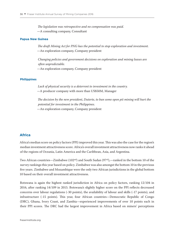*The legislation was retrospective and no compensation was paid.* —A consulting company, Consultant

#### **Papua New Guinea**

*The draft Mining Act for PNG has the potential to stop exploration and investment.* —An exploration company, Company president

*Changing policies and government decisions on exploration and mining leases are often unpredictable.*

—An exploration company, Company president

#### **Philippines**

*Lack of physical security is a deterrent to investment in the country. —*A producer company with more than US\$50M, Manager

*The decision by the new president, Duterte, to ban some open pit mining will hurt the potential for investment in the Philippines.* —An exploration company, Company president

## **Africa**

Africa's median score on policy factors (PPI) improved this year. This was also the case for the region's median investment attractiveness score. Africa's overall investment attractiveness now ranks it ahead of the regions of Oceania, Latin America and the Caribbean, Asia, and Argentina.

Two African countries—Zimbabwe (102<sup>nd</sup>) and South Sudan (97<sup>rd</sup>),—ranked in the bottom 10 of the survey rankings this year based on policy. Zimbabwe was also amongst the bottom 10 in the previous five years. Zimbabwe and Mozambique were the only two African jurisdictions in the global bottom 10 based on their overall investment attractiveness.

Botswana is again the highest ranked jurisdiction in Africa on policy factors, ranking 12/104 in 2016, after ranking 14/109 in 2015. Botswana's slightly higher score on the PPI reflects decreased concerns over labour regulations (-30 points), the availability of labour and skills (-17 points), and infrastructure (-15 points). This year, four African countries—Democratic Republic of Congo (DRC), Ghana, Ivory Coast, and Zambia—experienced improvements of over 10 points each in their PPI scores. The DRC had the largest improvement in Africa based on miners' perceptions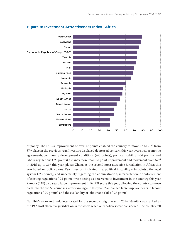

## **Figure 9: Investment Attractiveness Index—Africa**

of policy. The DRC's improvement of over 17 points enabled the country to move up to  $70<sup>th</sup>$  from 87<sup>th</sup> place in the previous year. Investors displayed decreased concern this year over socioeconomic agreements/community development conditions (-40 points), political stability (-34 points), and labour regulations (-29 points). Ghana's more than 12-point improvement and movement from  $52<sup>nd</sup>$ in 2015 up to 31st this year, places Ghana as the second most attractive jurisdiction in Africa this year based on policy alone. Few investors indicated that political instability (-24 points), the legal system (-23 points), and uncertainty regarding the administration, interpretation, or enforcement of existing regulations (-21 points) were acting as deterrents to investment in the country this year. Zambia (43<sup>rd</sup>) also saw a large improvement in its PPI score this year, allowing the country to move back into the top 50 countries, after ranking 61<sup>st</sup> last year. Zambia had large improvements in labour regulations (-29 points) and the availability of labour and skills (-28 points).

Namibia's score and rank deteriorated for the second straight year. In 2014, Namibia was ranked as the 19<sup>th</sup> most attractive jurisdiction in the world when only policies were considered. The country fell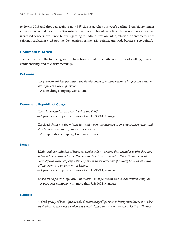to 29<sup>th</sup> in 2015 and dropped again to rank 38<sup>th</sup> this year. After this year's decline, Namibia no longer ranks as the second most attractive jurisdiction in Africa based on policy. This year miners expressed increased concern over uncertainty regarding the administration, interpretation, or enforcement of existing regulations (+28 points), the taxation regime (+21 points), and trade barriers (+19 points).

## **Comments: Africa**

The comments in the following section have been edited for length, grammar and spelling, to retain confidentiality, and to clarify meanings.

#### **Botswana**

*The government has permitted the development of a mine within a large game reserve; multiple land use is possible.* —A consulting company, Consultant

#### **Democratic Republic of Congo**

*There is corruption on every level in the DRC.* —A producer company with more than US\$50M, Manager

*The 2012 change in the mining law and a genuine attempt to impose transparency and due legal process in disputes was a positive.* —An exploration company, Company president

#### **Kenya**

*Unilateral cancellation of licenses, punitive fiscal regime that includes a 10% free carry interest to government as well as a mandated requirement to list 20% on the local security exchange, appropriation of assets on termination of mining licenses, etc., are all deterrents to investment in Kenya.*

—A producer company with more than US\$50M, Manager

*Kenya has a flawed legislation in relation to exploration and it is extremely complex. —*A producer company with more than US\$50M, Manager

#### **Namibia**

*A draft policy of local "previously disadvantaged" persons is being circulated. It models itself after South Africa which has clearly failed in its broad based objectives. There is*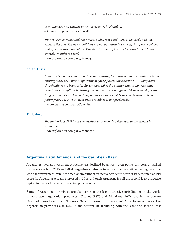*great danger to all existing or new companies in Namibia. —*A consulting company, Consultant

*The Ministry of Mines and Energy has added new conditions to renewals and new mineral licenses. The new conditions are not described in any Act, thus poorly defined and up to the discretion of the Minister. The issue of licenses has thus been delayed severely (months to years).* —An exploration company, Manager

#### **South Africa**

*Presently before the courts is a decision regarding local ownership in accordance to the existing Black Economic Empowerment (BEE) policy. Once deemed BEE compliant, shareholdings are being sold. Government takes the position that companies must remain BEE compliant by issuing new shares. There is a grave risk to ownership with the government's track record on passing and then modifying laws to achieve their policy goals. The environment in South Africa is not predictable.* —A consulting company, Consultant

#### **Zimbabwe**

*The contentious 51% local ownership requirement is a deterrent to investment in Zimbabwe.*

—An exploration company, Manager

#### **Argentina, Latin America, and the Caribbean Basin**

Argentina's median investment attractiveness declined by almost seven points this year, a marked decrease over both 2015 and 2014. Argentina continues to rank as the least attractive region in the world for investment. While the median investment attractiveness score deteriorated, the median PPI score for Argentina actually increased in 2016, although Argentina is still the second least attractive region in the world when considering policies only.

Some of Argentina's provinces are also some of the least attractive jurisdictions in the world. Indeed, two Argentinian provinces—Chubut  $(98<sup>th</sup>)$  and Mendoza  $(96<sup>th</sup>)$ —are in the bottom 10 jurisdictions based on PPI scores. When focusing on Investment Attractiveness scores, five Argentinian provinces also rank in the bottom 10, including both the least and second-least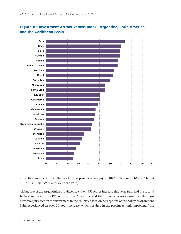

## **Figure 10: Investment Attractiveness Index—Argentina, Latin America, and the Caribbean Basin**

attractive jurisdictions in the world. The provinces are Jujuy (104<sup>th</sup>), Neuquen (103<sup>rd</sup>), Chubut (101<sup>st</sup>), La Rioja (99<sup>th</sup>), and Mendoza (98<sup>th</sup>).

All but two of the Argentinian provinces saw their PPI scores increase this year. Salta had the second highest increase in its PPI score within Argentina, and the province is now ranked as the most attractive jurisdiction for investment in the country based on perceptions of the policy environment. Salta experienced an over 20-point increase, which resulted in the province's rank improving from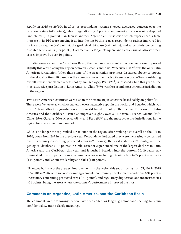62/109 in 2015 to 29/104 in 2016, as respondents' ratings showed decreased concern over the taxation regime (-43 points), labour regulations (-33 points), and uncertainty concerning disputed land claims (-33 points). San Juan is another Argentinian jurisdiction which experienced a large increase in its PPI score, moving it up into the top 50 this year, as respondents' ratings improved for its taxation regime (-45 points), the geological database (-42 points), and uncertainty concerning disputed land claims (-39 points). Catamarca, La Rioja, Neuquen, and Santa Cruz all also saw their scores improve by over 10 points.

In Latin America and the Caribbean Basin, the median investment attractiveness score improved slightly this year, placing the region between Oceania and Asia. Venezuela  $(102<sup>nd</sup>)$  was the only Latin American jurisdiction (other than some of the Argentinian provinces discussed above) to appear in the global bottom 10 based on the country's investment attractiveness score. When considering overall investment attractiveness (policy and geology), Peru (28th) surpassed Chile this year as the most attractive jurisdiction in Latin America. Chile (39th) was the second most attractive jurisdiction in the region.

Two Latin American countries were also in the bottom 10 jurisdictions based solely on policy (PPI). These were Venezuela, which occupied the least attractive spot in the world, and Ecuador which was the 10<sup>th</sup> least attractive jurisdiction in the world based on policy. The median PPI score for Latin America and the Caribbean Basin also improved slightly over 2015. Overall, French Guiana  $(34<sup>th</sup>)$ , Chile (35<sup>th</sup>), Guyana (50<sup>th</sup>), Mexico (53<sup>rd</sup>), and Peru (54<sup>th</sup>) are the most attractive jurisdictions in the region for investment based on policy.

Chile is no longer the top-ranked jurisdiction in the region, after ranking  $35<sup>th</sup>$  overall on the PPI in 2016, down from 26<sup>th</sup> in the previous year. Respondents indicated they were increasingly concerned over uncertainty concerning protected areas (+23 points), the legal system (+19 points), and the geological database (+17 points) in Chile. Ecuador experienced one of the largest declines in Latin America and the Caribbean this year, and it pushed Ecuador into the bottom 10. Ecuador saw diminished investor perceptions in a number of areas including infrastructure (+22 points), security (+14 points), and labour availability and skills (+10 points).

Nicaragua had one of the greatest improvements in the region this year, moving from 71/109 in 2015 to 57/104 in 2016, with socioeconomic agreements/community development conditions (-31 points), uncertainty concerning protected areas (-31 points), and regulatory duplication and inconsistencies (-21 points) being the areas where the country's performance improved the most.

## **Comments on Argentina, Latin America, and the Caribbean Basin**

The comments in the following section have been edited for length, grammar and spelling, to retain confidentiality, and to clarify meanings.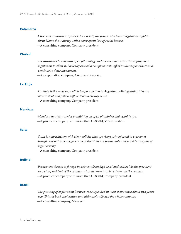#### **Catamarca**

*Government misuses royalties. As a result, the people who have a legitimate right to them blame the industry with a consequent loss of social license.* —A consulting company, Company president

#### **Chubut**

*The disastrous law against open pit mining, and the even more disastrous proposed legislation to allow it, basically caused a complete write-off of millions spent there and continue to deter investment.*

—An exploration company, Company president

#### **La Rioja**

*La Rioja is the most unpredictable jurisdiction in Argentina. Mining authorities are inconsistent and policies often don't make any sense.* —A consulting company, Company president

#### **Mendoza**

*Mendoza has instituted a prohibition on open pit mining and cyanide use.* —A producer company with more than US\$50M, Vice-president

#### **Salta**

*Salta is a jurisdiction with clear policies that are rigorously enforced to everyone's benefit. The outcomes of government decisions are predictable and provide a regime of legal security.*

—A consulting company, Company president

#### **Bolivia**

*Permanent threats to foreign investment from high-level authorities like the president and vice-president of the country act as deterrents to investment in the country.* —A producer company with more than US\$50M, Company president

#### **Brazil**

*The granting of exploration licenses was suspended in most states since about two years ago. This set back exploration and ultimately affected the whole company.* —A consulting company, Manager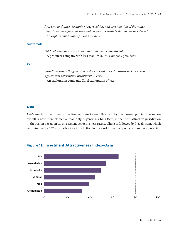*Proposal to change the mining law, royalties, and organization of the mines department has gone nowhere and creates uncertainty that deters investment. —An exploration company, Vice-president*

#### **Guatemala**

*Political uncertainty in Guatemala is deterring investment.* —A producer company with less than US\$50M, Company president

#### **Peru**

*Situations where the government does not enforce established surface access agreements deter future investment in Peru.* —An exploration company, Chief exploration officer

## **Asia**

Asia's median investment attractiveness deteriorated this year by over seven points. The region overall is now more attractive than only Argentina. China (54<sup>th</sup>) is the most attractive jurisdiction in the region based on its investment attractiveness rating. China is followed by Kazakhstan, which was rated as the 73rd most attractive jurisdiction in the world based on policy and mineral potential.



## **Figure 11: Investment Attractiveness Index—Asia**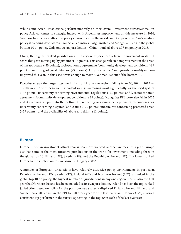While some Asian jurisdictions perform modestly on their overall investment attractiveness, on policy Asia continues to struggle. Indeed, with Argentina's improvement on this measure in 2016, Asia now has the least attractive policy environment in the world, and it appears that Asia's median policy is trending downwards. Two Asian countries—Afghanistan and Mongolia—rank in the global bottom 10 on policy. Only one Asian jurisdiction—China—ranked above 80th on policy in 2015.

China, the highest ranked jurisdiction in the region, experienced a large improvement in its PPI score this year, moving up by just under 15 points. This change reflected improvement in the areas of infrastructure (-55 points), socioeconomic agreements/community development conditions (-39 points), and the geological database (-33 points). Only one other Asian jurisdiction—Myanmar improved this year. In this case it was enough to move Myanmar just out of the bottom 10.

Kazakhstan saw the largest decline in PPI ranking in the region, falling from 50/109 in 2015 to 90/104 in 2016 with negative respondent ratings increasing most significantly for the legal system (+48 points), uncertainty concerning environmental regulations (+37 points), and ), socioeconomic agreements/community development conditions (+28 points). Mongolia's PPI score also fell in 2015 and its ranking slipped into the bottom 10, reflecting worsening perceptions of respondents for uncertainty concerning disputed land claims (+20 points), uncertainty concerning protected areas (+19 points), and the availability of labour and skills (+11 points).

#### **Europe**

Europe's median investment attractiveness score experienced another increase this year. Europe also has some of the most attractive jurisdictions in the world for investment, including three in the global top 10: Finland  $(5<sup>th</sup>)$ , Sweden  $(8<sup>th</sup>)$ , and the Republic of Ireland  $(9<sup>th</sup>)$ . The lowest ranked European jurisdiction on this measure is Hungary at 85<sup>th</sup>.

A number of European jurisdictions have relatively attractive policy environments in particular. Republic of Ireland (1<sup>st</sup>), Sweden (3<sup>rd</sup>), Finland (4<sup>th</sup>) and Northern Ireland (10<sup>th</sup>) all ranked in the global top 10 on policy, the highest number of jurisdictions in any one region. This is also the first year that Northern Ireland has been included as its own jurisdiction. Ireland has been the top-ranked jurisdiction based on policy for the past four years after it displaced Finland. Ireland, Finland, and Sweden have all ranked in the PPI top 10 every year for the last five years. Norway (12<sup>th</sup>) is also a consistent top performer in the survey, appearing in the top 20 in each of the last five years.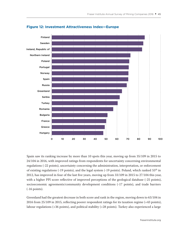

## **Figure 12: Investment Attractiveness Index—Europe**

Spain saw its ranking increase by more than 10 spots this year, moving up from 35/109 in 2015 to 24/104 in 2016, with improved ratings from respondents for uncertainty concerning environmental regulations (-22 points), uncertainty concerning the administration, interpretation, or enforcement of existing regulations (-19 points), and the legal system (-19 points). Poland, which ranked  $55<sup>th</sup>$  in 2012, has improved in four of the last five years, moving up from 33/109 in 2015 to 27/104 this year, with a higher PPI score reflective of improved perceptions of the geological database (-25 points), socioeconomic agreements/community development conditions (-17 points), and trade barriers (-16 points).

Greenland had the greatest decrease in both score and rank in the region, moving down to 63/104 in 2016 from 25/109 in 2015, reflecting poorer respondent ratings for its taxation regime (+43 points), labour regulations (+36 points), and political stability (+28 points). Turkey also experienced a large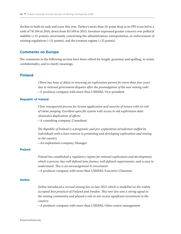decline in both its rank and score this year. Turkey's more than 16-point drop in its PPI score led to a rank of 78/104 in 2016, down from 45/109 in 2015. Investors expressed greater concern over political stability (+31 points), uncertainty concerning the administration, interpretation, or enforcement of existing regulations (+31 points), and the taxation regime (+25 points).

#### **Comments on Europe**

The comments in the following section have been edited for length, grammar and spelling, to retain confidentiality, and to clarify meanings.

## **Finland**

*[There has been a] delay in renewing an exploration permit for more than four years due to internal government disputes after the promulgation of the new mining code.* —A producer company with more than US\$50M, Vice-president

#### **Republic of Ireland**

*Clear transparent process for license application and security of tenure with no risk of claim jumping. Excellent open file system with access to old exploration data eliminates duplication of efforts.*

—A consulting company, Consultant

*The Republic of Ireland is a pragmatic and pro-exploration jurisdiction staffed by individuals with a keen interest in promoting and developing exploration and mining in the country.*

—An exploration company, Manager

## **Poland**

*Poland has established a regulatory regime for mineral exploration and development, which is precise, has well defined time frames, well defined requirements, and is easy to understand. This is an encouragement to investment.* —A producer company with more than US\$50M, Executive Chairman

#### **Serbia**

*Serbia introduced a revised mining law in late 2015 which is modelled on the widely accepted best practices of Finland and Sweden. This new law sent a strong signal to the mining community and played a role in our recent significant investment in the country.*

—A producer company with more than US\$50M, Other senior management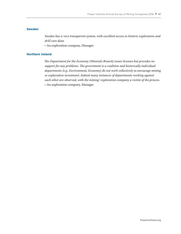#### **Sweden**

*Sweden has a very transparent system, with excellent access to historic exploration and drill core data.*

—An exploration company, Manager

#### **Northern Ireland**

*The Department for the Economy (Minerals Branch) issues licenses but provides no support for any problems. The government is a coalition and historically individual departments (e.g., Environment, Economy) do not work collectively to encourage mining or exploration investment. Indeed many instances of departments working against each other are observed, with the mining/ exploration company a victim of the process.* —An exploration company, Manager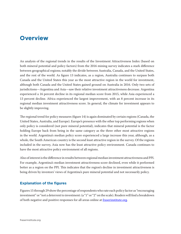## **Overview**

An analysis of the regional trends in the results of the Investment Attractiveness Index (based on both mineral potential and policy factors) from the 2016 mining survey indicates a stark difference between geographical regions; notably the divide between Australia, Canada, and the United States, and the rest of the world. As figure 13 indicates, as a region, Australia continues to surpass both Canada and the United States this year as the most attractive region in the world for investment, although both Canada and the United States gained ground on Australia in 2016. Only two sets of jurisdictions—Argentina and Asia—saw their relative investment attractiveness decrease. Argentina experienced a 16 percent decline in its regional median score from 2015, while Asia experienced a 13 percent decline. Africa experienced the largest improvement, with an 8 percent increase in its regional median investment attractiveness score. In general, the climate for investment appears to be slightly improving.

The regional trend for policy measures (figure 14) is again dominated by certain regions (Canada, the United States, Australia, and Europe). Europe's presence with the other top performing regions when only policy is considered (not pure mineral potential), indicates that mineral potential is the factor holding Europe back from being in the same category as the three other most attractive regions in the world. Argentina's median policy score experienced a large increase this year, although, as a whole, the South American country is the second least attractive region in the survey. Of the regions included in the survey, Asia now has the least attractive policy environment. Canada continues to have the most attractive policy environment of all regions.

Also of interest is the difference in results between regional median investment attractiveness and PPI. For example, Argentina's median investment attractiveness score declined, even while it performed better as a region on the PPI. This indicates that the region's decline in investment attractiveness is being driven by investors' views of Argentina's pure mineral potential and not necessarily policy.

## **Explanation of the figures**

Figures 15 through 29 show the percentage of respondents who rate each policy factor as "encouraging investment" or "not a deterrent to investment: (a "1" or "2" on the scale). Readers will find a breakdown of both negative and positive responses for all areas online at [fraserinstitute.org.](http://www.fraserinstitute.org)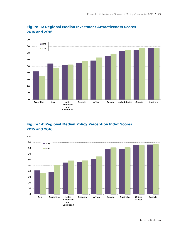

## **Figure 13: Regional Median Investment Attractiveness Scores 2015 and 2016**

## **Figure 14: Regional Median Policy Perception Index Scores 2015 and 2016**

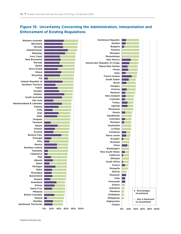

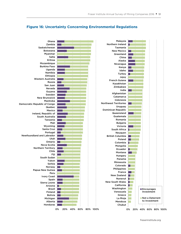

## **Figure 16: Uncertainty Concerning Environmental Regulations**

fraserinstitute.org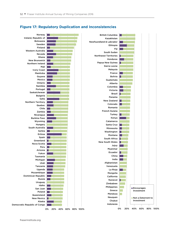

## **Figure 17: Regulatory Duplication and Inconsistencies**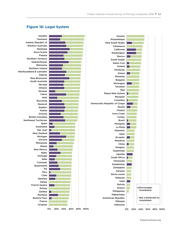## **Figure 18: Legal System**

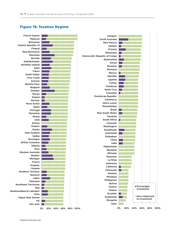## **Figure 19: Taxation Regime**

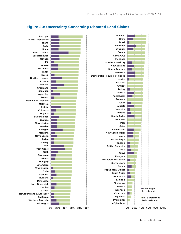

## **Figure 20: Uncertainty Concerning Disputed Land Claims**

fraserinstitute.org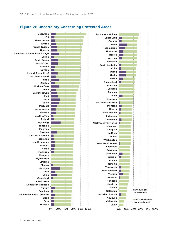

## **Figure 21: Uncertainty Concerning Protected Areas**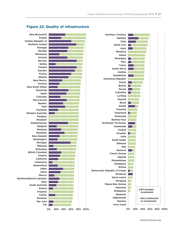

## **Figure 22: Quality of Infrastructure**

fraserinstitute.org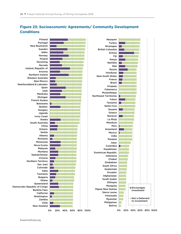

## **Figure 23: Socioeconomic Agreements/ Community Development Conditions**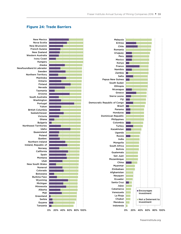## **Figure 24: Trade Barriers**

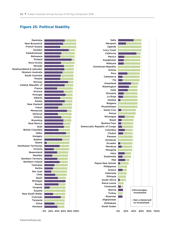## **Figure 25: Political Stability**

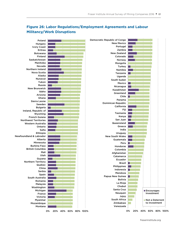

## **Figure 26: Labor Regulations/Employment Agreements and Labour Militancy/Work Disruptions**

fraserinstitute.org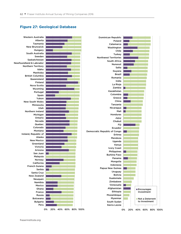## **Figure 27: Geological Database**

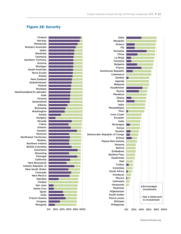### **Figure 28: Security**



fraserinstitute.org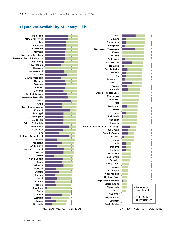#### **Figure 29: Availability of Labor/Skills**

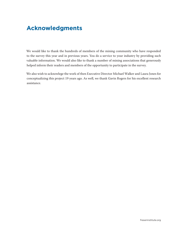# **Acknowledgments**

We would like to thank the hundreds of members of the mining community who have responded to the survey this year and in previous years. You do a service to your industry by providing such valuable information. We would also like to thank a number of mining associations that generously helped inform their readers and members of the opportunity to participate in the survey.

We also wish to acknowlege the work of then Executive Director Michael Walker and Laura Jones for conceptualizing this project 19 years ago. As well, we thank Gavin Rogers for his excellent research assistance.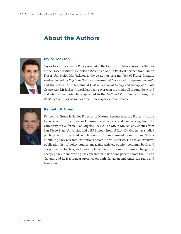## **About the Authors**



## Taylor Jackson

Taylor Jackson is a Senior Policy Analyst in the Centre for Natural Resource Studies at the Fraser Institute. He holds a BA and an MA in Political Science from Simon Fraser University. Mr. Jackson is the co-author of a number of Fraser Institute studies, including *Safety in the Transportation of Oil and Gas: Pipelines or Rail?*, and the Fraser Institute's annual G*lobal Petroleum Survey* and *Survey of Mining Companies*. Mr Jackson's work has been covered in the media all around the world and his commentaries have appeared in the *National Post*, *Financial Post*, and W*ashington Times*, as well as other newspapers across Canada.



## Kenneth P. Green

Kenneth P. Green is Senior Director of Natural Resources at the Fraser Institute. He received his doctorate in Environmental Science and Engineering from the University of California, Los Angeles (UCLA), an MS in Molecular Genetics from San Diego State University, and a BS Biology from UCLA. Dr. Green has studied public policy involving risk, regulation, and the environment for more than 16 years at public policy research institutions across North America. He has an extensive publication list of policy studies, magazine articles, opinion columns, book and encyclopedia chapters, and two supplementary text books on climate change and energy policy. Ken's writing has appeared in major news papers across the US and Canada, and he is a regular presence on both Canadian and American radio and television.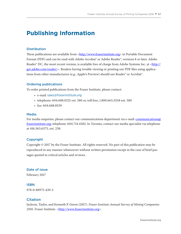# **Publishing Information**

#### **Distribution**

These publications are available from [<http://www.fraserinstitute.org>](http://www.fraserinstitute.org) in Portable Document Format (PDF) and can be read with Adobe Acrobat<sup>®</sup> or Adobe Reader<sup>®</sup>, versions 8 or later. Adobe Reader® DC, the most recent version, is available free of charge from Adobe Systems Inc. at <[http://](http://get.adobe.com/reader/) [get.adobe.com/reader/](http://get.adobe.com/reader/)>. Readers having trouble viewing or printing our PDF files using applications from other manufacturers (e.g., Apple's Preview) should use Reader® or Acrobat®.

#### Ordering publications

To order printed publications from the Fraser Institute, please contact:

- e-mail: sales@fraserinstitute.org
- telephone: 604.688.0221 ext. 580 or, toll free, 1.800.665.3558 ext. 580
- $•$  fax: 604.688.8539.

#### Media

For media enquiries, please contact our communications department via e-mail: communications  $\omega$ [fraserinstitute.org](mailto:communications@fraserinstitute.org); telephone: 604.714.4582. In Toronto, contact our media specialist via telephone at 416.363.6575, ext. 238.

#### Copyright

Copyright © 2017 by the Fraser Institute. All rights reserved. No part of this publication may be reproduced in any manner whatsoever without written permission except in the case of brief passages quoted in critical articles and reviews.

#### Date of issue

February 2017

#### ISBN

978-0-88975-439-3

## Citation

Jackson, Taylor, and Kenneth P. Green (2017). *Fraser Institute Annual Survey of Mining Companies*  2016. Fraser Institute. <http://www.fraserinstitute.org>.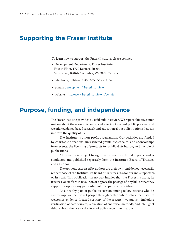## **Supporting the Fraser Institute**

To learn how to support the Fraser Institute, please contact

- Development Department, Fraser Institute Fourth Floor, 1770 Burrard Street Vancouver, British Columbia, V6J 3G7 Canada
- telephone, toll-free: 1.800.665.3558 ext. 548
- e-mail: development@fraserinstitute.org
- website:: <http://www.fraserinstitute.org/donate>

## **Purpose, funding, and independence**

The Fraser Institute provides a useful public service. We report objective information about the economic and social effects of current public policies, and we offer evidence-based research and education about policy options that can improve the quality of life.

The Institute is a non-profit organization. Our activities are funded by charitable donations, unrestricted grants, ticket sales, and sponsorships from events, the licensing of products for public distribution, and the sale of publications.

All research is subject to rigorous review by external experts, and is conducted and published separately from the Institute's Board of Trustees and its donors.

The opinions expressed by authors are their own, and do not necessarily reflect those of the Institute, its Board of Trustees, its donors and supporters, or its staff. This publication in no way implies that the Fraser Institute, its trustees, or staff are in favour of, or oppose the passage of, any bill; or that they support or oppose any particular political party or candidate.

As a healthy part of public discussion among fellow citizens who desire to improve the lives of people through better public policy, the Institute welcomes evidence-focused scrutiny of the research we publish, including verification of data sources, replication of analytical methods, and intelligent debate about the practical effects of policy recommendations.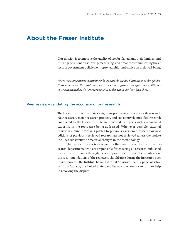## **About the Fraser Institute**

Our mission is to improve the quality of life for Canadians, their families, and future generations by studying, measuring, and broadly communicating the effects of government policies, entrepreneurship, and choice on their well-being.

*Notre mission consiste à améliorer la qualité de vie des Canadiens et des générations à venir en étudiant, en mesurant et en diffusant les effets des politiques gouvernementales, de l'entrepreneuriat et des choix sur leur bien-être.* 

#### Peer review—validating the accuracy of our research

The Fraser Institute maintains a rigorous peer review process for its research. New research, major research projects, and substantively modified research conducted by the Fraser Institute are reviewed by experts with a recognized expertise in the topic area being addressed. Whenever possible, external review is a blind process. Updates to previously reviewed research or new editions of previously reviewed research are not reviewed unless the update includes substantive or material changes in the methodology.

The review process is overseen by the directors of the Institute's research departments who are responsible for ensuring all research published by the Institute passes through the appropriate peer review. If a dispute about the recommendations of the reviewers should arise during the Institute's peer review process, the Institute has an Editorial Advisory Board, a panel of scholars from Canada, the United States, and Europe to whom it can turn for help in resolving the dispute.